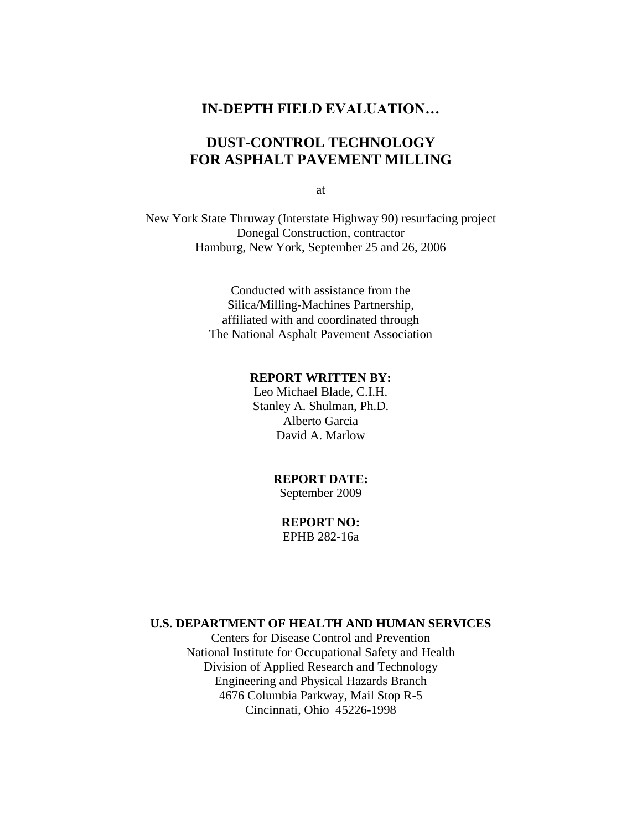### **IN-DEPTH FIELD EVALUATION…**

# **DUST-CONTROL TECHNOLOGY FOR ASPHALT PAVEMENT MILLING**

at

New York State Thruway (Interstate Highway 90) resurfacing project Donegal Construction, contractor Hamburg, New York, September 25 and 26, 2006

> Conducted with assistance from the Silica/Milling-Machines Partnership, affiliated with and coordinated through The National Asphalt Pavement Association

#### **REPORT WRITTEN BY:**

Leo Michael Blade, C.I.H. Stanley A. Shulman, Ph.D. Alberto Garcia David A. Marlow

# **REPORT DATE:**

September 2009

**REPORT NO:** EPHB 282-16a

#### **U.S. DEPARTMENT OF HEALTH AND HUMAN SERVICES**

Centers for Disease Control and Prevention National Institute for Occupational Safety and Health Division of Applied Research and Technology Engineering and Physical Hazards Branch 4676 Columbia Parkway, Mail Stop R-5 Cincinnati, Ohio 45226-1998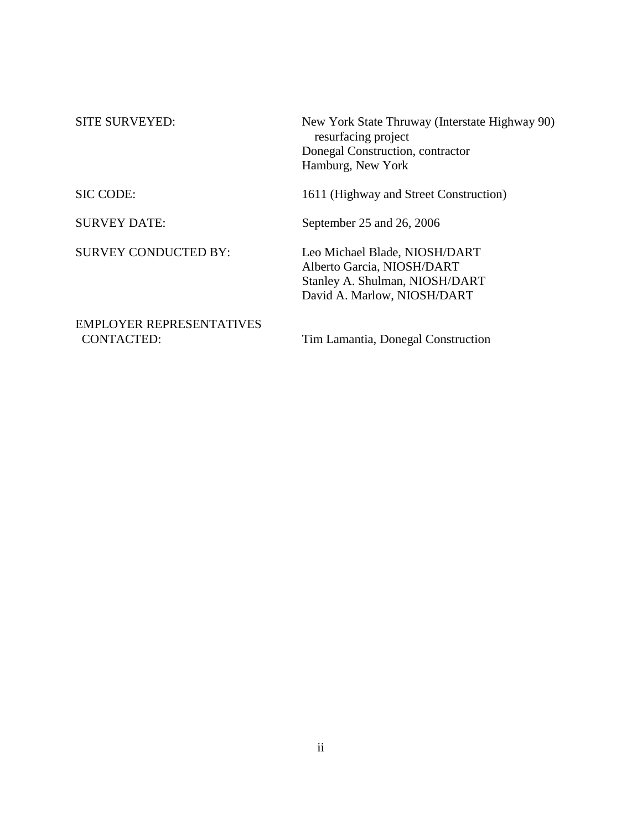| <b>SITE SURVEYED:</b>                                | New York State Thruway (Interstate Highway 90)<br>resurfacing project<br>Donegal Construction, contractor<br>Hamburg, New York |  |  |  |  |
|------------------------------------------------------|--------------------------------------------------------------------------------------------------------------------------------|--|--|--|--|
| SIC CODE:                                            | 1611 (Highway and Street Construction)                                                                                         |  |  |  |  |
| <b>SURVEY DATE:</b>                                  | September 25 and 26, 2006                                                                                                      |  |  |  |  |
| <b>SURVEY CONDUCTED BY:</b>                          | Leo Michael Blade, NIOSH/DART<br>Alberto Garcia, NIOSH/DART<br>Stanley A. Shulman, NIOSH/DART<br>David A. Marlow, NIOSH/DART   |  |  |  |  |
| <b>EMPLOYER REPRESENTATIVES</b><br><b>CONTACTED:</b> | Tim Lamantia, Donegal Construction                                                                                             |  |  |  |  |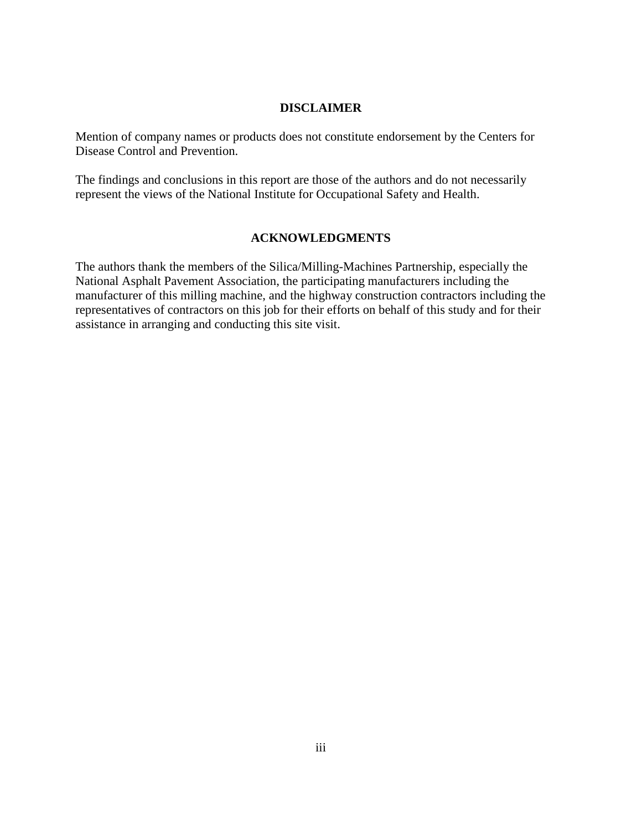#### **DISCLAIMER**

Mention of company names or products does not constitute endorsement by the Centers for Disease Control and Prevention.

The findings and conclusions in this report are those of the authors and do not necessarily represent the views of the National Institute for Occupational Safety and Health.

# **ACKNOWLEDGMENTS**

The authors thank the members of the Silica/Milling-Machines Partnership, especially the National Asphalt Pavement Association, the participating manufacturers including the manufacturer of this milling machine, and the highway construction contractors including the representatives of contractors on this job for their efforts on behalf of this study and for their assistance in arranging and conducting this site visit.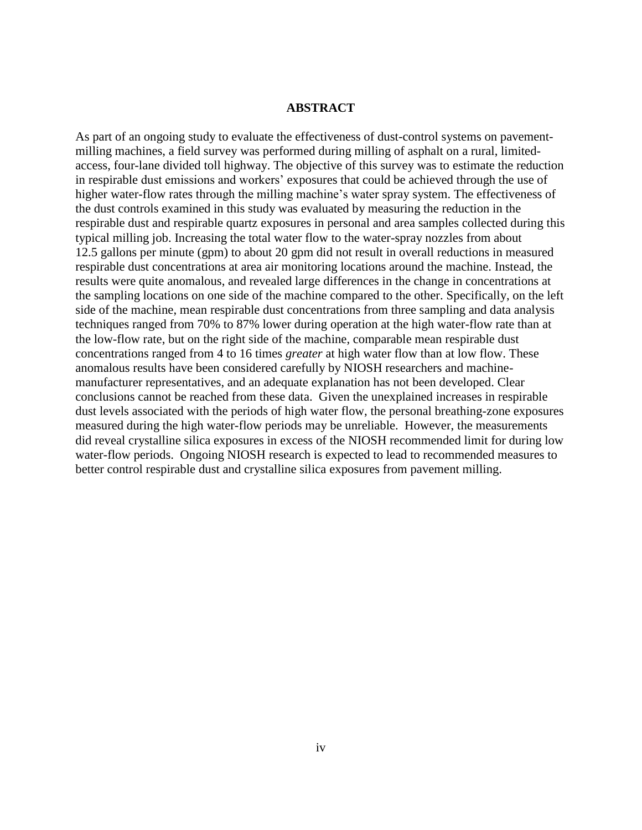#### **ABSTRACT**

As part of an ongoing study to evaluate the effectiveness of dust-control systems on pavementmilling machines, a field survey was performed during milling of asphalt on a rural, limitedaccess, four-lane divided toll highway. The objective of this survey was to estimate the reduction in respirable dust emissions and workers' exposures that could be achieved through the use of higher water-flow rates through the milling machine's water spray system. The effectiveness of the dust controls examined in this study was evaluated by measuring the reduction in the respirable dust and respirable quartz exposures in personal and area samples collected during this typical milling job. Increasing the total water flow to the water-spray nozzles from about 12.5 gallons per minute (gpm) to about 20 gpm did not result in overall reductions in measured respirable dust concentrations at area air monitoring locations around the machine. Instead, the results were quite anomalous, and revealed large differences in the change in concentrations at the sampling locations on one side of the machine compared to the other. Specifically, on the left side of the machine, mean respirable dust concentrations from three sampling and data analysis techniques ranged from 70% to 87% lower during operation at the high water-flow rate than at the low-flow rate, but on the right side of the machine, comparable mean respirable dust concentrations ranged from 4 to 16 times *greater* at high water flow than at low flow. These anomalous results have been considered carefully by NIOSH researchers and machinemanufacturer representatives, and an adequate explanation has not been developed. Clear conclusions cannot be reached from these data. Given the unexplained increases in respirable dust levels associated with the periods of high water flow, the personal breathing-zone exposures measured during the high water-flow periods may be unreliable. However, the measurements did reveal crystalline silica exposures in excess of the NIOSH recommended limit for during low water-flow periods. Ongoing NIOSH research is expected to lead to recommended measures to better control respirable dust and crystalline silica exposures from pavement milling.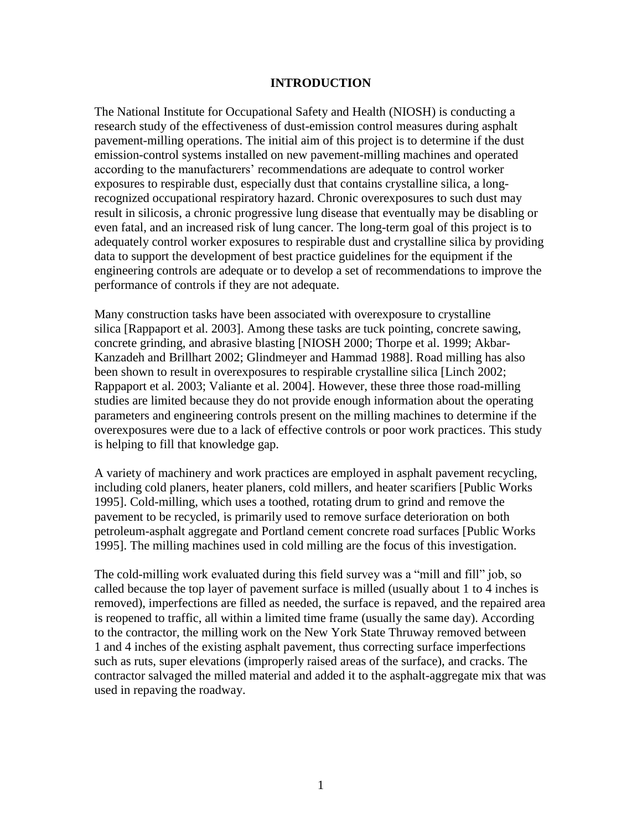#### **INTRODUCTION**

The National Institute for Occupational Safety and Health (NIOSH) is conducting a research study of the effectiveness of dust-emission control measures during asphalt pavement-milling operations. The initial aim of this project is to determine if the dust emission-control systems installed on new pavement-milling machines and operated according to the manufacturers' recommendations are adequate to control worker exposures to respirable dust, especially dust that contains crystalline silica, a longrecognized occupational respiratory hazard. Chronic overexposures to such dust may result in silicosis, a chronic progressive lung disease that eventually may be disabling or even fatal, and an increased risk of lung cancer. The long-term goal of this project is to adequately control worker exposures to respirable dust and crystalline silica by providing data to support the development of best practice guidelines for the equipment if the engineering controls are adequate or to develop a set of recommendations to improve the performance of controls if they are not adequate.

Many construction tasks have been associated with overexposure to crystalline silica [Rappaport et al. 2003]. Among these tasks are tuck pointing, concrete sawing, concrete grinding, and abrasive blasting [NIOSH 2000; Thorpe et al. 1999; Akbar-Kanzadeh and Brillhart 2002; Glindmeyer and Hammad 1988]. Road milling has also been shown to result in overexposures to respirable crystalline silica [Linch 2002; Rappaport et al. 2003; Valiante et al. 2004]. However, these three those road-milling studies are limited because they do not provide enough information about the operating parameters and engineering controls present on the milling machines to determine if the overexposures were due to a lack of effective controls or poor work practices. This study is helping to fill that knowledge gap.

A variety of machinery and work practices are employed in asphalt pavement recycling, including cold planers, heater planers, cold millers, and heater scarifiers [Public Works 1995]. Cold-milling, which uses a toothed, rotating drum to grind and remove the pavement to be recycled, is primarily used to remove surface deterioration on both petroleum-asphalt aggregate and Portland cement concrete road surfaces [Public Works 1995]. The milling machines used in cold milling are the focus of this investigation.

The cold-milling work evaluated during this field survey was a "mill and fill" job, so called because the top layer of pavement surface is milled (usually about 1 to 4 inches is removed), imperfections are filled as needed, the surface is repaved, and the repaired area is reopened to traffic, all within a limited time frame (usually the same day). According to the contractor, the milling work on the New York State Thruway removed between 1 and 4 inches of the existing asphalt pavement, thus correcting surface imperfections such as ruts, super elevations (improperly raised areas of the surface), and cracks. The contractor salvaged the milled material and added it to the asphalt-aggregate mix that was used in repaving the roadway.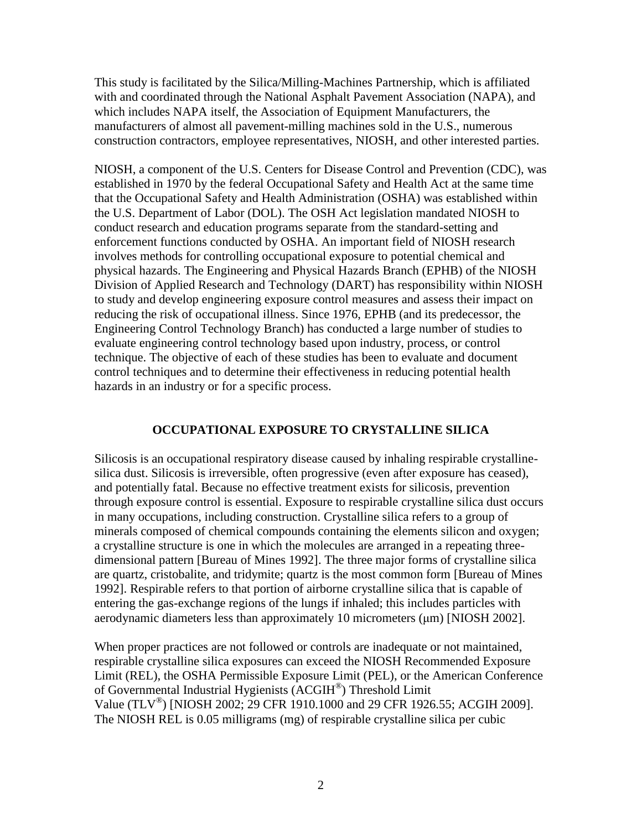This study is facilitated by the Silica/Milling-Machines Partnership, which is affiliated with and coordinated through the National Asphalt Pavement Association (NAPA), and which includes NAPA itself, the Association of Equipment Manufacturers, the manufacturers of almost all pavement-milling machines sold in the U.S., numerous construction contractors, employee representatives, NIOSH, and other interested parties.

NIOSH, a component of the U.S. Centers for Disease Control and Prevention (CDC), was established in 1970 by the federal Occupational Safety and Health Act at the same time that the Occupational Safety and Health Administration (OSHA) was established within the U.S. Department of Labor (DOL). The OSH Act legislation mandated NIOSH to conduct research and education programs separate from the standard-setting and enforcement functions conducted by OSHA. An important field of NIOSH research involves methods for controlling occupational exposure to potential chemical and physical hazards. The Engineering and Physical Hazards Branch (EPHB) of the NIOSH Division of Applied Research and Technology (DART) has responsibility within NIOSH to study and develop engineering exposure control measures and assess their impact on reducing the risk of occupational illness. Since 1976, EPHB (and its predecessor, the Engineering Control Technology Branch) has conducted a large number of studies to evaluate engineering control technology based upon industry, process, or control technique. The objective of each of these studies has been to evaluate and document control techniques and to determine their effectiveness in reducing potential health hazards in an industry or for a specific process.

### **OCCUPATIONAL EXPOSURE TO CRYSTALLINE SILICA**

Silicosis is an occupational respiratory disease caused by inhaling respirable crystallinesilica dust. Silicosis is irreversible, often progressive (even after exposure has ceased), and potentially fatal. Because no effective treatment exists for silicosis, prevention through exposure control is essential. Exposure to respirable crystalline silica dust occurs in many occupations, including construction. Crystalline silica refers to a group of minerals composed of chemical compounds containing the elements silicon and oxygen; a crystalline structure is one in which the molecules are arranged in a repeating threedimensional pattern [Bureau of Mines 1992]. The three major forms of crystalline silica are quartz, cristobalite, and tridymite; quartz is the most common form [Bureau of Mines 1992]. Respirable refers to that portion of airborne crystalline silica that is capable of entering the gas-exchange regions of the lungs if inhaled; this includes particles with aerodynamic diameters less than approximately 10 micrometers (μm) [NIOSH 2002].

When proper practices are not followed or controls are inadequate or not maintained, respirable crystalline silica exposures can exceed the NIOSH Recommended Exposure Limit (REL), the OSHA Permissible Exposure Limit (PEL), or the American Conference of Governmental Industrial Hygienists (ACGIH® ) Threshold Limit Value (TLV<sup>®</sup>) [NIOSH 2002; 29 CFR 1910.1000 and 29 CFR 1926.55; ACGIH 2009]. The NIOSH REL is 0.05 milligrams (mg) of respirable crystalline silica per cubic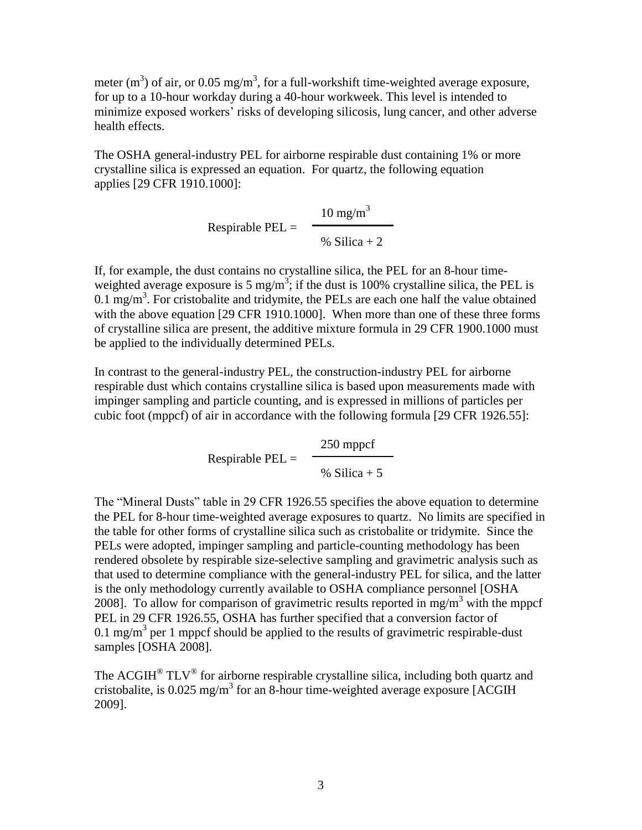meter (m<sup>3</sup>) of air, or 0.05 mg/m<sup>3</sup>, for a full-workshift time-weighted average exposure, for up to a 10-hour workday during a 40-hour workweek. This level is intended to minimize exposed workers' risks of developing silicosis, lung cancer, and other adverse health effects.

The OSHA general-industry PEL for airborne respirable dust containing 1% or more crystalline silica is expressed an equation. For quartz, the following equation applies [29 CFR 1910.1000]:

 $10 \text{ mg/m}^3$ Respirable PEL = % Silica  $+2$ 

If, for example, the dust contains no crystalline silica, the PEL for an 8-hour timeweighted average exposure is 5 mg/m<sup>3</sup>; if the dust is 100% crystalline silica, the PEL is  $0.1 \text{ mg/m}^3$ . For cristobalite and tridymite, the PELs are each one half the value obtained with the above equation [29 CFR 1910.1000]. When more than one of these three forms of crystalline silica are present, the additive mixture formula in 29 CFR 1900.1000 must be applied to the individually determined PELs.

In contrast to the general-industry PEL, the construction-industry PEL for airborne respirable dust which contains crystalline silica is based upon measurements made with impinger sampling and particle counting, and is expressed in millions of particles per cubic foot (mppcf) of air in accordance with the following formula [29 CFR 1926.55]:

> 250 mppcf Respirable  $PEL =$ % Silica  $+5$

The "Mineral Dusts" table in 29 CFR 1926.55 specifies the above equation to determine the PEL for 8-hour time-weighted average exposures to quartz. No limits are specified in the table for other forms of crystalline silica such as cristobalite or tridymite. Since the PELs were adopted, impinger sampling and particle-counting methodology has been rendered obsolete by respirable size-selective sampling and gravimetric analysis such as that used to determine compliance with the general-industry PEL for silica, and the latter is the only methodology currently available to OSHA compliance personnel [OSHA 2008]. To allow for comparison of gravimetric results reported in mg/m<sup>3</sup> with the mppcf PEL in 29 CFR 1926.55, OSHA has further specified that a conversion factor of 0.1 mg/m<sup>3</sup> per 1 mppcf should be applied to the results of gravimetric respirable-dust samples [OSHA 2008].

The ACGIH<sup>®</sup> TLV<sup>®</sup> for airborne respirable crystalline silica, including both quartz and cristobalite, is 0.025 mg/m<sup>3</sup> for an 8-hour time-weighted average exposure [ACGIH 2009].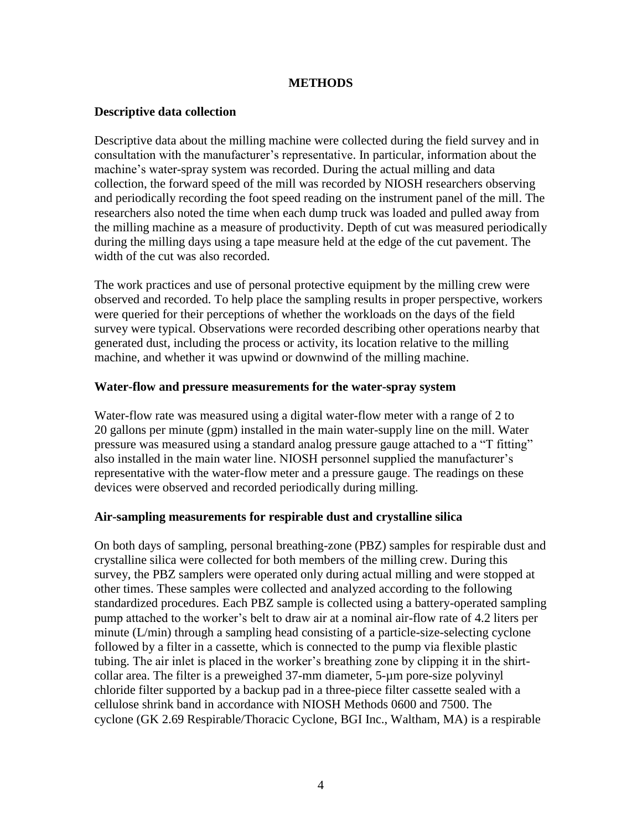#### **METHODS**

#### **Descriptive data collection**

Descriptive data about the milling machine were collected during the field survey and in consultation with the manufacturer's representative. In particular, information about the machine's water-spray system was recorded. During the actual milling and data collection, the forward speed of the mill was recorded by NIOSH researchers observing and periodically recording the foot speed reading on the instrument panel of the mill. The researchers also noted the time when each dump truck was loaded and pulled away from the milling machine as a measure of productivity. Depth of cut was measured periodically during the milling days using a tape measure held at the edge of the cut pavement. The width of the cut was also recorded.

The work practices and use of personal protective equipment by the milling crew were observed and recorded. To help place the sampling results in proper perspective, workers were queried for their perceptions of whether the workloads on the days of the field survey were typical. Observations were recorded describing other operations nearby that generated dust, including the process or activity, its location relative to the milling machine, and whether it was upwind or downwind of the milling machine.

#### **Water-flow and pressure measurements for the water-spray system**

Water-flow rate was measured using a digital water-flow meter with a range of 2 to 20 gallons per minute (gpm) installed in the main water-supply line on the mill. Water pressure was measured using a standard analog pressure gauge attached to a "T fitting" also installed in the main water line. NIOSH personnel supplied the manufacturer's representative with the water-flow meter and a pressure gauge. The readings on these devices were observed and recorded periodically during milling.

#### **Air-sampling measurements for respirable dust and crystalline silica**

On both days of sampling, personal breathing-zone (PBZ) samples for respirable dust and crystalline silica were collected for both members of the milling crew. During this survey, the PBZ samplers were operated only during actual milling and were stopped at other times. These samples were collected and analyzed according to the following standardized procedures. Each PBZ sample is collected using a battery-operated sampling pump attached to the worker's belt to draw air at a nominal air-flow rate of 4.2 liters per minute (L/min) through a sampling head consisting of a particle-size-selecting cyclone followed by a filter in a cassette, which is connected to the pump via flexible plastic tubing. The air inlet is placed in the worker's breathing zone by clipping it in the shirtcollar area. The filter is a preweighed 37-mm diameter, 5-µm pore-size polyvinyl chloride filter supported by a backup pad in a three-piece filter cassette sealed with a cellulose shrink band in accordance with NIOSH Methods 0600 and 7500. The cyclone (GK 2.69 Respirable/Thoracic Cyclone, BGI Inc., Waltham, MA) is a respirable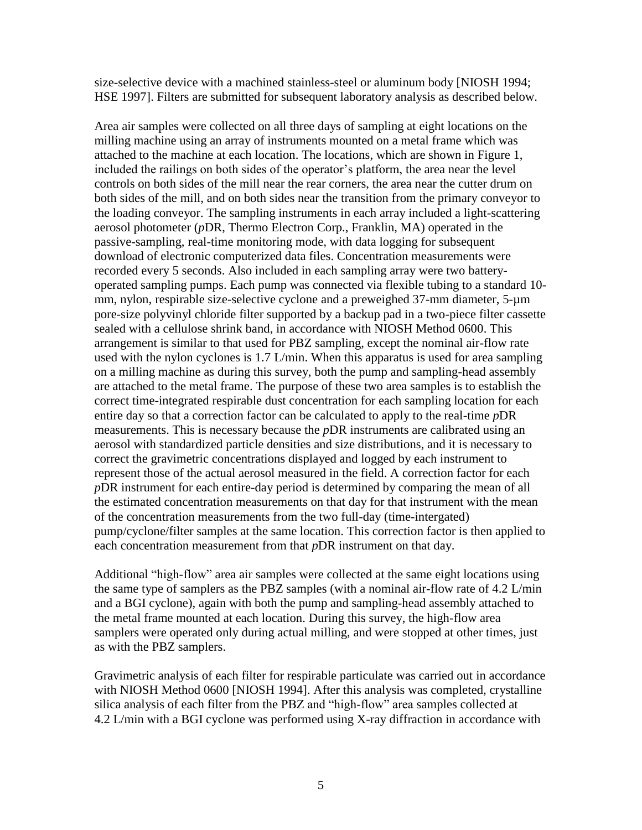size-selective device with a machined stainless-steel or aluminum body [NIOSH 1994; HSE 1997]. Filters are submitted for subsequent laboratory analysis as described below.

Area air samples were collected on all three days of sampling at eight locations on the milling machine using an array of instruments mounted on a metal frame which was attached to the machine at each location. The locations, which are shown in Figure 1, included the railings on both sides of the operator's platform, the area near the level controls on both sides of the mill near the rear corners, the area near the cutter drum on both sides of the mill, and on both sides near the transition from the primary conveyor to the loading conveyor. The sampling instruments in each array included a light-scattering aerosol photometer (*p*DR, Thermo Electron Corp., Franklin, MA) operated in the passive-sampling, real-time monitoring mode, with data logging for subsequent download of electronic computerized data files. Concentration measurements were recorded every 5 seconds. Also included in each sampling array were two batteryoperated sampling pumps. Each pump was connected via flexible tubing to a standard 10 mm, nylon, respirable size-selective cyclone and a preweighed 37-mm diameter, 5-µm pore-size polyvinyl chloride filter supported by a backup pad in a two-piece filter cassette sealed with a cellulose shrink band, in accordance with NIOSH Method 0600. This arrangement is similar to that used for PBZ sampling, except the nominal air-flow rate used with the nylon cyclones is 1.7 L/min. When this apparatus is used for area sampling on a milling machine as during this survey, both the pump and sampling-head assembly are attached to the metal frame. The purpose of these two area samples is to establish the correct time-integrated respirable dust concentration for each sampling location for each entire day so that a correction factor can be calculated to apply to the real-time *p*DR measurements. This is necessary because the *p*DR instruments are calibrated using an aerosol with standardized particle densities and size distributions, and it is necessary to correct the gravimetric concentrations displayed and logged by each instrument to represent those of the actual aerosol measured in the field. A correction factor for each *p*DR instrument for each entire-day period is determined by comparing the mean of all the estimated concentration measurements on that day for that instrument with the mean of the concentration measurements from the two full-day (time-intergated) pump/cyclone/filter samples at the same location. This correction factor is then applied to each concentration measurement from that *p*DR instrument on that day.

Additional "high-flow" area air samples were collected at the same eight locations using the same type of samplers as the PBZ samples (with a nominal air-flow rate of 4.2 L/min and a BGI cyclone), again with both the pump and sampling-head assembly attached to the metal frame mounted at each location. During this survey, the high-flow area samplers were operated only during actual milling, and were stopped at other times, just as with the PBZ samplers.

Gravimetric analysis of each filter for respirable particulate was carried out in accordance with NIOSH Method 0600 [NIOSH 1994]. After this analysis was completed, crystalline silica analysis of each filter from the PBZ and "high-flow" area samples collected at 4.2 L/min with a BGI cyclone was performed using X-ray diffraction in accordance with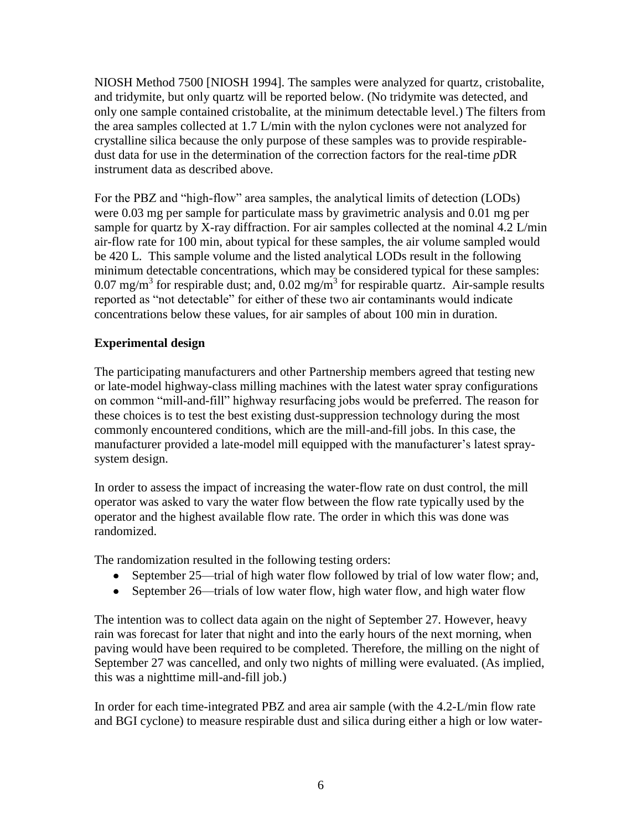NIOSH Method 7500 [NIOSH 1994]. The samples were analyzed for quartz, cristobalite, and tridymite, but only quartz will be reported below. (No tridymite was detected, and only one sample contained cristobalite, at the minimum detectable level.) The filters from the area samples collected at 1.7 L/min with the nylon cyclones were not analyzed for crystalline silica because the only purpose of these samples was to provide respirabledust data for use in the determination of the correction factors for the real-time *p*DR instrument data as described above.

For the PBZ and "high-flow" area samples, the analytical limits of detection (LODs) were 0.03 mg per sample for particulate mass by gravimetric analysis and 0.01 mg per sample for quartz by X-ray diffraction. For air samples collected at the nominal 4.2 L/min air-flow rate for 100 min, about typical for these samples, the air volume sampled would be 420 L. This sample volume and the listed analytical LODs result in the following minimum detectable concentrations, which may be considered typical for these samples: 0.07 mg/m<sup>3</sup> for respirable dust; and, 0.02 mg/m<sup>3</sup> for respirable quartz. Air-sample results reported as "not detectable" for either of these two air contaminants would indicate concentrations below these values, for air samples of about 100 min in duration.

# **Experimental design**

The participating manufacturers and other Partnership members agreed that testing new or late-model highway-class milling machines with the latest water spray configurations on common "mill-and-fill" highway resurfacing jobs would be preferred. The reason for these choices is to test the best existing dust-suppression technology during the most commonly encountered conditions, which are the mill-and-fill jobs. In this case, the manufacturer provided a late-model mill equipped with the manufacturer's latest spraysystem design.

In order to assess the impact of increasing the water-flow rate on dust control, the mill operator was asked to vary the water flow between the flow rate typically used by the operator and the highest available flow rate. The order in which this was done was randomized.

The randomization resulted in the following testing orders:

- September 25—trial of high water flow followed by trial of low water flow; and,
- September 26—trials of low water flow, high water flow, and high water flow

The intention was to collect data again on the night of September 27. However, heavy rain was forecast for later that night and into the early hours of the next morning, when paving would have been required to be completed. Therefore, the milling on the night of September 27 was cancelled, and only two nights of milling were evaluated. (As implied, this was a nighttime mill-and-fill job.)

In order for each time-integrated PBZ and area air sample (with the 4.2-L/min flow rate and BGI cyclone) to measure respirable dust and silica during either a high or low water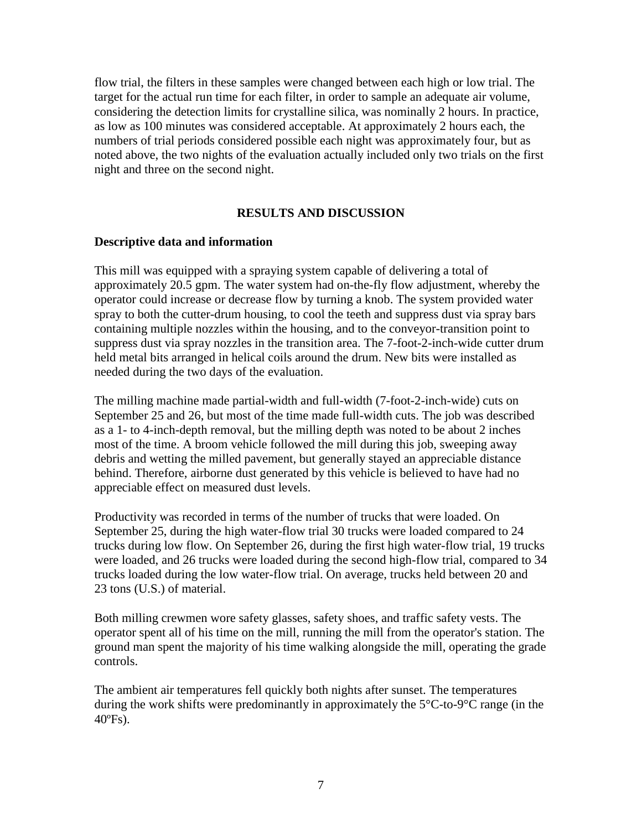flow trial, the filters in these samples were changed between each high or low trial. The target for the actual run time for each filter, in order to sample an adequate air volume, considering the detection limits for crystalline silica, was nominally 2 hours. In practice, as low as 100 minutes was considered acceptable. At approximately 2 hours each, the numbers of trial periods considered possible each night was approximately four, but as noted above, the two nights of the evaluation actually included only two trials on the first night and three on the second night.

### **RESULTS AND DISCUSSION**

#### **Descriptive data and information**

This mill was equipped with a spraying system capable of delivering a total of approximately 20.5 gpm. The water system had on-the-fly flow adjustment, whereby the operator could increase or decrease flow by turning a knob. The system provided water spray to both the cutter-drum housing, to cool the teeth and suppress dust via spray bars containing multiple nozzles within the housing, and to the conveyor-transition point to suppress dust via spray nozzles in the transition area. The 7-foot-2-inch-wide cutter drum held metal bits arranged in helical coils around the drum. New bits were installed as needed during the two days of the evaluation.

The milling machine made partial-width and full-width (7-foot-2-inch-wide) cuts on September 25 and 26, but most of the time made full-width cuts. The job was described as a 1- to 4-inch-depth removal, but the milling depth was noted to be about 2 inches most of the time. A broom vehicle followed the mill during this job, sweeping away debris and wetting the milled pavement, but generally stayed an appreciable distance behind. Therefore, airborne dust generated by this vehicle is believed to have had no appreciable effect on measured dust levels.

Productivity was recorded in terms of the number of trucks that were loaded. On September 25, during the high water-flow trial 30 trucks were loaded compared to 24 trucks during low flow. On September 26, during the first high water-flow trial, 19 trucks were loaded, and 26 trucks were loaded during the second high-flow trial, compared to 34 trucks loaded during the low water-flow trial. On average, trucks held between 20 and 23 tons (U.S.) of material.

Both milling crewmen wore safety glasses, safety shoes, and traffic safety vests. The operator spent all of his time on the mill, running the mill from the operator's station. The ground man spent the majority of his time walking alongside the mill, operating the grade controls.

The ambient air temperatures fell quickly both nights after sunset. The temperatures during the work shifts were predominantly in approximately the 5°C-to-9°C range (in the 40ºFs).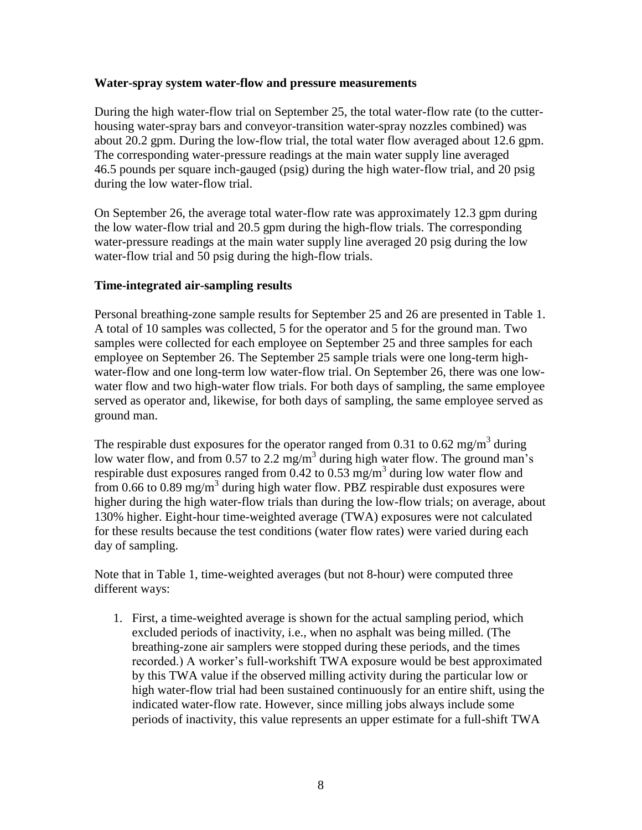#### **Water-spray system water-flow and pressure measurements**

During the high water-flow trial on September 25, the total water-flow rate (to the cutterhousing water-spray bars and conveyor-transition water-spray nozzles combined) was about 20.2 gpm. During the low-flow trial, the total water flow averaged about 12.6 gpm. The corresponding water-pressure readings at the main water supply line averaged 46.5 pounds per square inch-gauged (psig) during the high water-flow trial, and 20 psig during the low water-flow trial.

On September 26, the average total water-flow rate was approximately 12.3 gpm during the low water-flow trial and 20.5 gpm during the high-flow trials. The corresponding water-pressure readings at the main water supply line averaged 20 psig during the low water-flow trial and 50 psig during the high-flow trials.

### **Time-integrated air-sampling results**

Personal breathing-zone sample results for September 25 and 26 are presented in Table 1. A total of 10 samples was collected, 5 for the operator and 5 for the ground man. Two samples were collected for each employee on September 25 and three samples for each employee on September 26. The September 25 sample trials were one long-term highwater-flow and one long-term low water-flow trial. On September 26, there was one lowwater flow and two high-water flow trials. For both days of sampling, the same employee served as operator and, likewise, for both days of sampling, the same employee served as ground man.

The respirable dust exposures for the operator ranged from 0.31 to 0.62 mg/m<sup>3</sup> during low water flow, and from 0.57 to 2.2 mg/m<sup>3</sup> during high water flow. The ground man's respirable dust exposures ranged from  $0.42$  to  $0.53$  mg/m<sup>3</sup> during low water flow and from 0.66 to 0.89 mg/m<sup>3</sup> during high water flow. PBZ respirable dust exposures were higher during the high water-flow trials than during the low-flow trials; on average, about 130% higher. Eight-hour time-weighted average (TWA) exposures were not calculated for these results because the test conditions (water flow rates) were varied during each day of sampling.

Note that in Table 1, time-weighted averages (but not 8-hour) were computed three different ways:

1. First, a time-weighted average is shown for the actual sampling period, which excluded periods of inactivity, i.e., when no asphalt was being milled. (The breathing-zone air samplers were stopped during these periods, and the times recorded.) A worker's full-workshift TWA exposure would be best approximated by this TWA value if the observed milling activity during the particular low or high water-flow trial had been sustained continuously for an entire shift, using the indicated water-flow rate. However, since milling jobs always include some periods of inactivity, this value represents an upper estimate for a full-shift TWA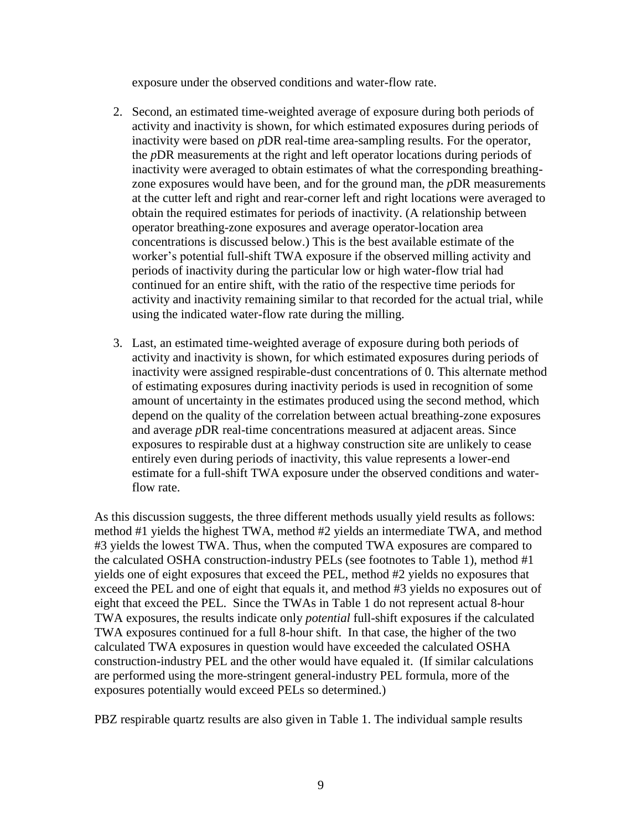exposure under the observed conditions and water-flow rate.

- 2. Second, an estimated time-weighted average of exposure during both periods of activity and inactivity is shown, for which estimated exposures during periods of inactivity were based on *p*DR real-time area-sampling results. For the operator, the *p*DR measurements at the right and left operator locations during periods of inactivity were averaged to obtain estimates of what the corresponding breathingzone exposures would have been, and for the ground man, the *p*DR measurements at the cutter left and right and rear-corner left and right locations were averaged to obtain the required estimates for periods of inactivity. (A relationship between operator breathing-zone exposures and average operator-location area concentrations is discussed below.) This is the best available estimate of the worker's potential full-shift TWA exposure if the observed milling activity and periods of inactivity during the particular low or high water-flow trial had continued for an entire shift, with the ratio of the respective time periods for activity and inactivity remaining similar to that recorded for the actual trial, while using the indicated water-flow rate during the milling.
- 3. Last, an estimated time-weighted average of exposure during both periods of activity and inactivity is shown, for which estimated exposures during periods of inactivity were assigned respirable-dust concentrations of 0. This alternate method of estimating exposures during inactivity periods is used in recognition of some amount of uncertainty in the estimates produced using the second method, which depend on the quality of the correlation between actual breathing-zone exposures and average *p*DR real-time concentrations measured at adjacent areas. Since exposures to respirable dust at a highway construction site are unlikely to cease entirely even during periods of inactivity, this value represents a lower-end estimate for a full-shift TWA exposure under the observed conditions and waterflow rate.

As this discussion suggests, the three different methods usually yield results as follows: method #1 yields the highest TWA, method #2 yields an intermediate TWA, and method #3 yields the lowest TWA. Thus, when the computed TWA exposures are compared to the calculated OSHA construction-industry PELs (see footnotes to Table 1), method #1 yields one of eight exposures that exceed the PEL, method #2 yields no exposures that exceed the PEL and one of eight that equals it, and method #3 yields no exposures out of eight that exceed the PEL. Since the TWAs in Table 1 do not represent actual 8-hour TWA exposures, the results indicate only *potential* full-shift exposures if the calculated TWA exposures continued for a full 8-hour shift. In that case, the higher of the two calculated TWA exposures in question would have exceeded the calculated OSHA construction-industry PEL and the other would have equaled it. (If similar calculations are performed using the more-stringent general-industry PEL formula, more of the exposures potentially would exceed PELs so determined.)

PBZ respirable quartz results are also given in Table 1. The individual sample results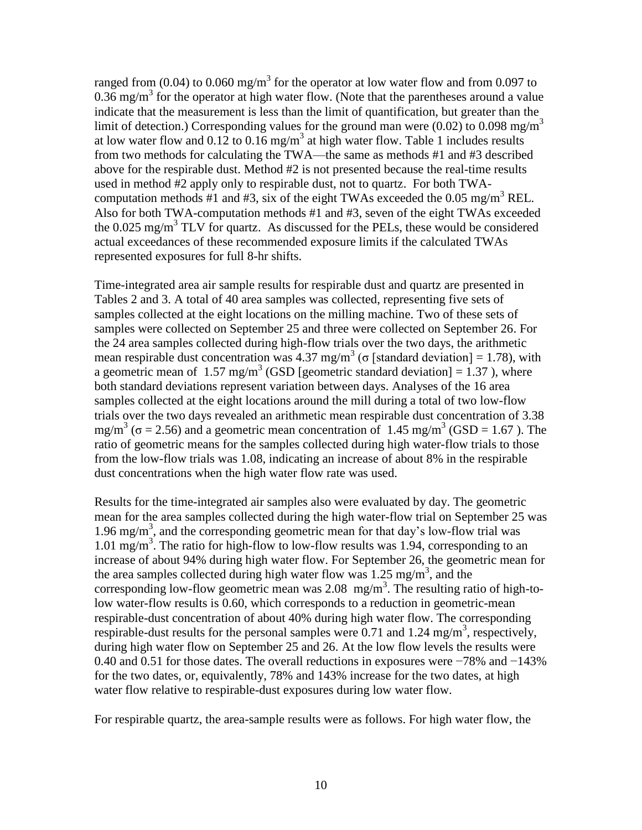ranged from (0.04) to 0.060 mg/m<sup>3</sup> for the operator at low water flow and from 0.097 to  $0.36$  mg/m<sup>3</sup> for the operator at high water flow. (Note that the parentheses around a value indicate that the measurement is less than the limit of quantification, but greater than the limit of detection.) Corresponding values for the ground man were (0.02) to 0.098 mg/m<sup>3</sup> at low water flow and  $0.12$  to  $0.16$  mg/m<sup>3</sup> at high water flow. Table 1 includes results from two methods for calculating the TWA—the same as methods #1 and #3 described above for the respirable dust. Method #2 is not presented because the real-time results used in method #2 apply only to respirable dust, not to quartz. For both TWAcomputation methods #1 and #3, six of the eight TWAs exceeded the 0.05 mg/m<sup>3</sup> REL. Also for both TWA-computation methods #1 and #3, seven of the eight TWAs exceeded the  $0.025 \text{ mg/m}^3$  TLV for quartz. As discussed for the PELs, these would be considered actual exceedances of these recommended exposure limits if the calculated TWAs represented exposures for full 8-hr shifts.

Time-integrated area air sample results for respirable dust and quartz are presented in Tables 2 and 3. A total of 40 area samples was collected, representing five sets of samples collected at the eight locations on the milling machine. Two of these sets of samples were collected on September 25 and three were collected on September 26. For the 24 area samples collected during high-flow trials over the two days, the arithmetic mean respirable dust concentration was 4.37 mg/m<sup>3</sup> ( $\sigma$  [standard deviation] = 1.78), with a geometric mean of  $1.57 \text{ mg/m}^3$  (GSD [geometric standard deviation] = 1.37), where both standard deviations represent variation between days. Analyses of the 16 area samples collected at the eight locations around the mill during a total of two low-flow trials over the two days revealed an arithmetic mean respirable dust concentration of 3.38 mg/m<sup>3</sup> ( $\sigma$  = 2.56) and a geometric mean concentration of 1.45 mg/m<sup>3</sup> (GSD = 1.67). The ratio of geometric means for the samples collected during high water-flow trials to those from the low-flow trials was 1.08, indicating an increase of about 8% in the respirable dust concentrations when the high water flow rate was used.

Results for the time-integrated air samples also were evaluated by day. The geometric mean for the area samples collected during the high water-flow trial on September 25 was 1.96 mg/m<sup>3</sup>, and the corresponding geometric mean for that day's low-flow trial was  $1.01 \text{ mg/m}^3$ . The ratio for high-flow to low-flow results was 1.94, corresponding to an increase of about 94% during high water flow. For September 26, the geometric mean for the area samples collected during high water flow was  $1.25 \text{ mg/m}^3$ , and the corresponding low-flow geometric mean was  $2.08$  mg/m<sup>3</sup>. The resulting ratio of high-tolow water-flow results is 0.60, which corresponds to a reduction in geometric-mean respirable-dust concentration of about 40% during high water flow. The corresponding respirable-dust results for the personal samples were  $\overline{0.71}$  and 1.24 mg/m<sup>3</sup>, respectively, during high water flow on September 25 and 26. At the low flow levels the results were 0.40 and 0.51 for those dates. The overall reductions in exposures were −78% and −143% for the two dates, or, equivalently, 78% and 143% increase for the two dates, at high water flow relative to respirable-dust exposures during low water flow.

For respirable quartz, the area-sample results were as follows. For high water flow, the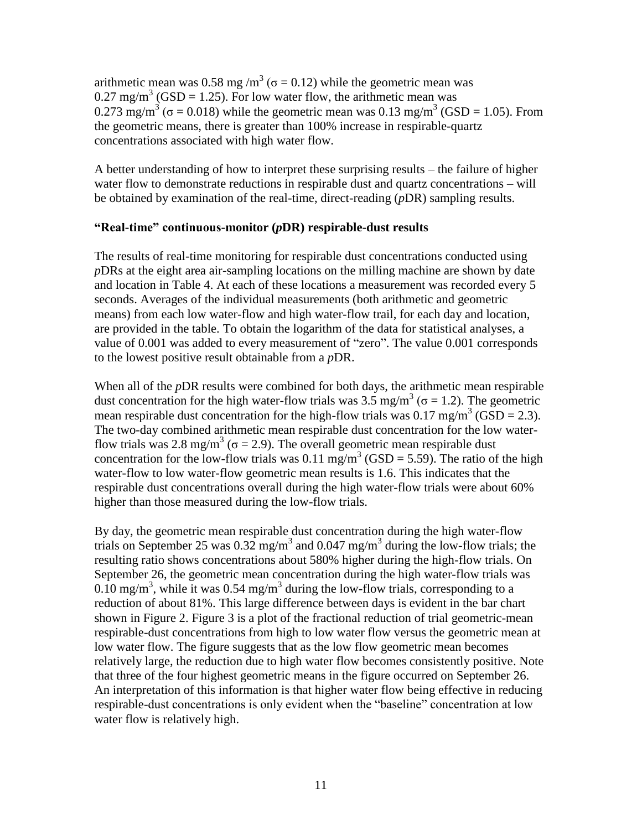arithmetic mean was 0.58 mg /m<sup>3</sup> ( $\sigma$  = 0.12) while the geometric mean was  $0.27 \text{ mg/m}^3$  (GSD = 1.25). For low water flow, the arithmetic mean was 0.273 mg/m<sup>3</sup> ( $\sigma$  = 0.018) while the geometric mean was 0.13 mg/m<sup>3</sup> (GSD = 1.05). From the geometric means, there is greater than 100% increase in respirable-quartz concentrations associated with high water flow.

A better understanding of how to interpret these surprising results – the failure of higher water flow to demonstrate reductions in respirable dust and quartz concentrations – will be obtained by examination of the real-time, direct-reading (*p*DR) sampling results.

### **"Real-time" continuous-monitor (***p***DR) respirable-dust results**

The results of real-time monitoring for respirable dust concentrations conducted using *p*DRs at the eight area air-sampling locations on the milling machine are shown by date and location in Table 4. At each of these locations a measurement was recorded every 5 seconds. Averages of the individual measurements (both arithmetic and geometric means) from each low water-flow and high water-flow trail, for each day and location, are provided in the table. To obtain the logarithm of the data for statistical analyses, a value of 0.001 was added to every measurement of "zero". The value 0.001 corresponds to the lowest positive result obtainable from a *p*DR.

When all of the *pDR* results were combined for both days, the arithmetic mean respirable dust concentration for the high water-flow trials was 3.5 mg/m<sup>3</sup> ( $\sigma$  = 1.2). The geometric mean respirable dust concentration for the high-flow trials was  $0.17 \text{ mg/m}^3$  (GSD = 2.3). The two-day combined arithmetic mean respirable dust concentration for the low waterflow trials was 2.8 mg/m<sup>3</sup> ( $\sigma$  = 2.9). The overall geometric mean respirable dust concentration for the low-flow trials was  $0.11 \text{ mg/m}^3$  (GSD = 5.59). The ratio of the high water-flow to low water-flow geometric mean results is 1.6. This indicates that the respirable dust concentrations overall during the high water-flow trials were about 60% higher than those measured during the low-flow trials.

By day, the geometric mean respirable dust concentration during the high water-flow trials on September 25 was  $0.32$  mg/m<sup>3</sup> and  $0.047$  mg/m<sup>3</sup> during the low-flow trials; the resulting ratio shows concentrations about 580% higher during the high-flow trials. On September 26, the geometric mean concentration during the high water-flow trials was 0.10 mg/m<sup>3</sup>, while it was 0.54 mg/m<sup>3</sup> during the low-flow trials, corresponding to a reduction of about 81%. This large difference between days is evident in the bar chart shown in Figure 2. Figure 3 is a plot of the fractional reduction of trial geometric-mean respirable-dust concentrations from high to low water flow versus the geometric mean at low water flow. The figure suggests that as the low flow geometric mean becomes relatively large, the reduction due to high water flow becomes consistently positive. Note that three of the four highest geometric means in the figure occurred on September 26. An interpretation of this information is that higher water flow being effective in reducing respirable-dust concentrations is only evident when the "baseline" concentration at low water flow is relatively high.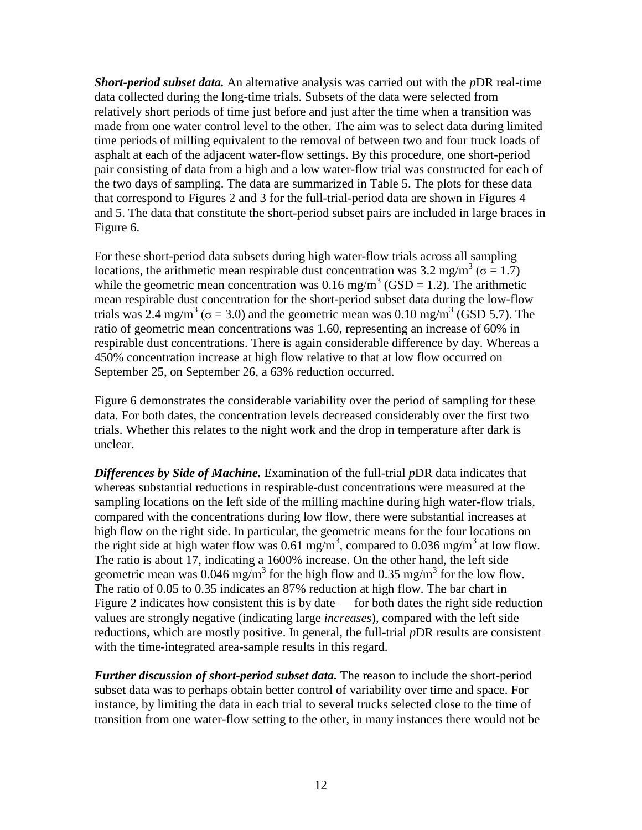*Short-period subset data.* An alternative analysis was carried out with the *p*DR real-time data collected during the long-time trials. Subsets of the data were selected from relatively short periods of time just before and just after the time when a transition was made from one water control level to the other. The aim was to select data during limited time periods of milling equivalent to the removal of between two and four truck loads of asphalt at each of the adjacent water-flow settings. By this procedure, one short-period pair consisting of data from a high and a low water-flow trial was constructed for each of the two days of sampling. The data are summarized in Table 5. The plots for these data that correspond to Figures 2 and 3 for the full-trial-period data are shown in Figures 4 and 5. The data that constitute the short-period subset pairs are included in large braces in Figure 6.

For these short-period data subsets during high water-flow trials across all sampling locations, the arithmetic mean respirable dust concentration was 3.2 mg/m<sup>3</sup> ( $\sigma = 1.7$ ) while the geometric mean concentration was  $0.16$  mg/m<sup>3</sup> (GSD = 1.2). The arithmetic mean respirable dust concentration for the short-period subset data during the low-flow trials was 2.4 mg/m<sup>3</sup> ( $\sigma$  = 3.0) and the geometric mean was 0.10 mg/m<sup>3</sup> (GSD 5.7). The ratio of geometric mean concentrations was 1.60, representing an increase of 60% in respirable dust concentrations. There is again considerable difference by day. Whereas a 450% concentration increase at high flow relative to that at low flow occurred on September 25, on September 26, a 63% reduction occurred.

Figure 6 demonstrates the considerable variability over the period of sampling for these data. For both dates, the concentration levels decreased considerably over the first two trials. Whether this relates to the night work and the drop in temperature after dark is unclear.

*Differences by Side of Machine.* Examination of the full-trial *p*DR data indicates that whereas substantial reductions in respirable-dust concentrations were measured at the sampling locations on the left side of the milling machine during high water-flow trials, compared with the concentrations during low flow, there were substantial increases at high flow on the right side. In particular, the geometric means for the four locations on the right side at high water flow was 0.61 mg/m<sup>3</sup>, compared to 0.036 mg/m<sup>3</sup> at low flow. The ratio is about 17, indicating a 1600% increase. On the other hand, the left side geometric mean was 0.046 mg/m<sup>3</sup> for the high flow and 0.35 mg/m<sup>3</sup> for the low flow. The ratio of 0.05 to 0.35 indicates an 87% reduction at high flow. The bar chart in Figure 2 indicates how consistent this is by date — for both dates the right side reduction values are strongly negative (indicating large *increases*), compared with the left side reductions, which are mostly positive. In general, the full-trial *p*DR results are consistent with the time-integrated area-sample results in this regard.

*Further discussion of short-period subset data.* The reason to include the short-period subset data was to perhaps obtain better control of variability over time and space. For instance, by limiting the data in each trial to several trucks selected close to the time of transition from one water-flow setting to the other, in many instances there would not be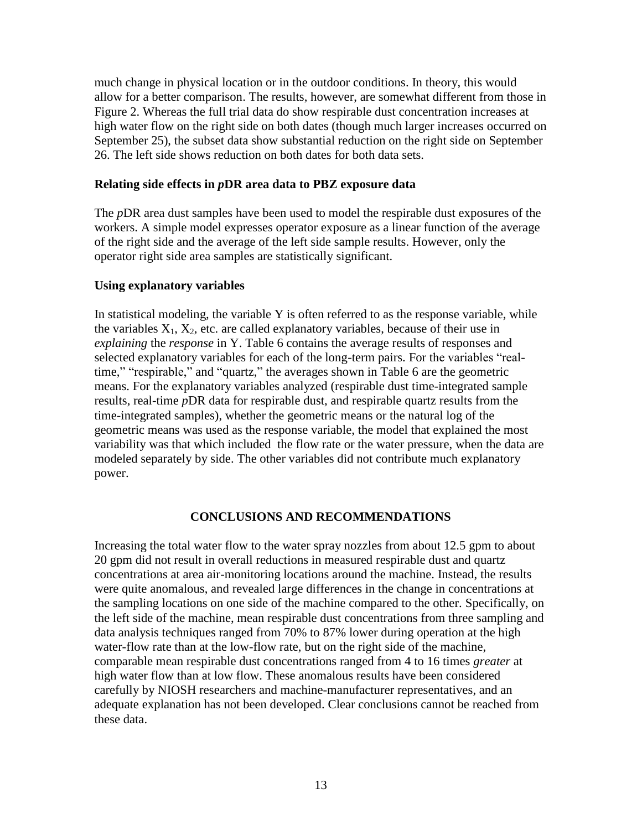much change in physical location or in the outdoor conditions. In theory, this would allow for a better comparison. The results, however, are somewhat different from those in Figure 2. Whereas the full trial data do show respirable dust concentration increases at high water flow on the right side on both dates (though much larger increases occurred on September 25), the subset data show substantial reduction on the right side on September 26. The left side shows reduction on both dates for both data sets.

# **Relating side effects in** *p***DR area data to PBZ exposure data**

The *p*DR area dust samples have been used to model the respirable dust exposures of the workers. A simple model expresses operator exposure as a linear function of the average of the right side and the average of the left side sample results. However, only the operator right side area samples are statistically significant.

# **Using explanatory variables**

In statistical modeling, the variable Y is often referred to as the response variable, while the variables  $X_1, X_2$ , etc. are called explanatory variables, because of their use in *explaining* the *response* in Y. Table 6 contains the average results of responses and selected explanatory variables for each of the long-term pairs. For the variables "realtime," "respirable," and "quartz," the averages shown in Table 6 are the geometric means. For the explanatory variables analyzed (respirable dust time-integrated sample results, real-time *p*DR data for respirable dust, and respirable quartz results from the time-integrated samples), whether the geometric means or the natural log of the geometric means was used as the response variable, the model that explained the most variability was that which included the flow rate or the water pressure, when the data are modeled separately by side. The other variables did not contribute much explanatory power.

### **CONCLUSIONS AND RECOMMENDATIONS**

Increasing the total water flow to the water spray nozzles from about 12.5 gpm to about 20 gpm did not result in overall reductions in measured respirable dust and quartz concentrations at area air-monitoring locations around the machine. Instead, the results were quite anomalous, and revealed large differences in the change in concentrations at the sampling locations on one side of the machine compared to the other. Specifically, on the left side of the machine, mean respirable dust concentrations from three sampling and data analysis techniques ranged from 70% to 87% lower during operation at the high water-flow rate than at the low-flow rate, but on the right side of the machine, comparable mean respirable dust concentrations ranged from 4 to 16 times *greater* at high water flow than at low flow. These anomalous results have been considered carefully by NIOSH researchers and machine-manufacturer representatives, and an adequate explanation has not been developed. Clear conclusions cannot be reached from these data.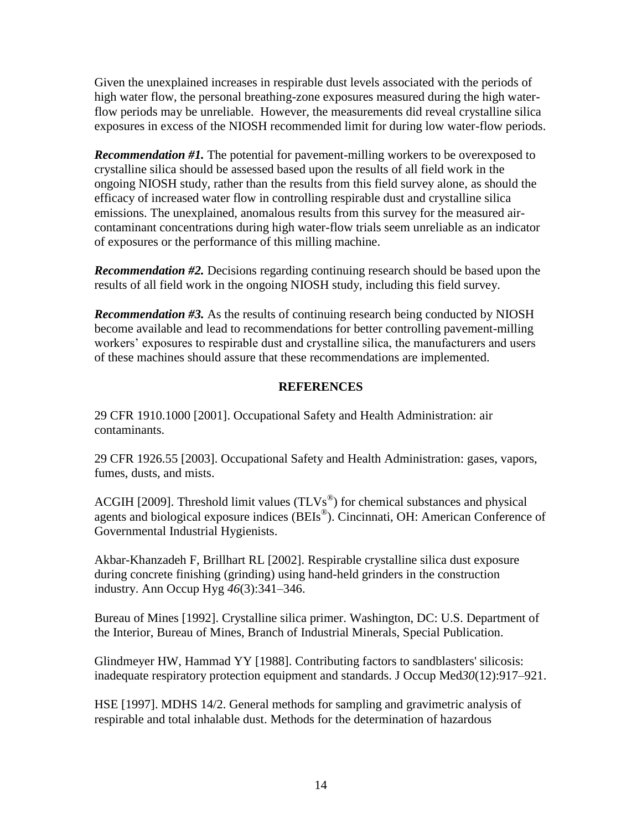Given the unexplained increases in respirable dust levels associated with the periods of high water flow, the personal breathing-zone exposures measured during the high waterflow periods may be unreliable. However, the measurements did reveal crystalline silica exposures in excess of the NIOSH recommended limit for during low water-flow periods.

*Recommendation #1.* The potential for pavement-milling workers to be overexposed to crystalline silica should be assessed based upon the results of all field work in the ongoing NIOSH study, rather than the results from this field survey alone, as should the efficacy of increased water flow in controlling respirable dust and crystalline silica emissions. The unexplained, anomalous results from this survey for the measured aircontaminant concentrations during high water-flow trials seem unreliable as an indicator of exposures or the performance of this milling machine.

*Recommendation #2.* Decisions regarding continuing research should be based upon the results of all field work in the ongoing NIOSH study, including this field survey.

*Recommendation #3.* As the results of continuing research being conducted by NIOSH become available and lead to recommendations for better controlling pavement-milling workers' exposures to respirable dust and crystalline silica, the manufacturers and users of these machines should assure that these recommendations are implemented.

# **REFERENCES**

29 CFR 1910.1000 [2001]. Occupational Safety and Health Administration: air contaminants.

29 CFR 1926.55 [2003]. Occupational Safety and Health Administration: gases, vapors, fumes, dusts, and mists.

ACGIH [2009]. Threshold limit values  $(TLVs^{\circledast})$  for chemical substances and physical agents and biological exposure indices (BEIs®). Cincinnati, OH: American Conference of Governmental Industrial Hygienists.

Akbar-Khanzadeh F, Brillhart RL [2002]. Respirable crystalline silica dust exposure during concrete finishing (grinding) using hand-held grinders in the construction industry. Ann Occup Hyg *46*(3):341–346.

Bureau of Mines [1992]. Crystalline silica primer. Washington, DC: U.S. Department of the Interior, Bureau of Mines, Branch of Industrial Minerals, Special Publication.

Glindmeyer HW, Hammad YY [1988]. Contributing factors to sandblasters' silicosis: inadequate respiratory protection equipment and standards. J Occup Med*30*(12):917–921.

HSE [1997]. MDHS 14/2. General methods for sampling and gravimetric analysis of respirable and total inhalable dust. Methods for the determination of hazardous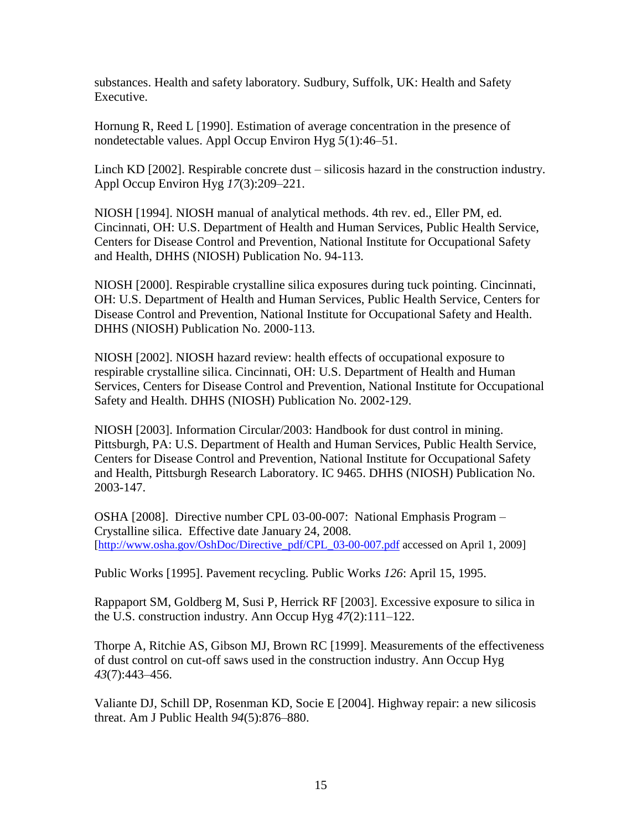substances. Health and safety laboratory. Sudbury, Suffolk, UK: Health and Safety Executive.

Hornung R, Reed L [1990]. Estimation of average concentration in the presence of nondetectable values. Appl Occup Environ Hyg *5*(1):46–51.

Linch KD [2002]. Respirable concrete dust – silicosis hazard in the construction industry. Appl Occup Environ Hyg *17*(3):209–221.

NIOSH [1994]. NIOSH manual of analytical methods. 4th rev. ed., Eller PM, ed. Cincinnati, OH: U.S. Department of Health and Human Services, Public Health Service, Centers for Disease Control and Prevention, National Institute for Occupational Safety and Health, DHHS (NIOSH) Publication No. 94-113.

NIOSH [2000]. Respirable crystalline silica exposures during tuck pointing. Cincinnati, OH: U.S. Department of Health and Human Services, Public Health Service, Centers for Disease Control and Prevention, National Institute for Occupational Safety and Health. DHHS (NIOSH) Publication No. 2000-113.

NIOSH [2002]. NIOSH hazard review: health effects of occupational exposure to respirable crystalline silica. Cincinnati, OH: U.S. Department of Health and Human Services, Centers for Disease Control and Prevention, National Institute for Occupational Safety and Health. DHHS (NIOSH) Publication No. 2002-129.

NIOSH [2003]. Information Circular/2003: Handbook for dust control in mining. Pittsburgh, PA: U.S. Department of Health and Human Services, Public Health Service, Centers for Disease Control and Prevention, National Institute for Occupational Safety and Health, Pittsburgh Research Laboratory. IC 9465. DHHS (NIOSH) Publication No. 2003-147.

OSHA [2008]. Directive number CPL 03-00-007: National Emphasis Program – Crystalline silica. Effective date January 24, 2008. [\[http://www.osha.gov/OshDoc/Directive\\_pdf/CPL\\_03-00-007.pdf](http://www.osha.gov/OshDoc/Directive_pdf/CPL_03-00-007.pdf) accessed on April 1, 2009]

Public Works [1995]. Pavement recycling. Public Works *126*: April 15, 1995.

Rappaport SM, Goldberg M, Susi P, Herrick RF [2003]. Excessive exposure to silica in the U.S. construction industry. Ann Occup Hyg *47*(2):111–122.

Thorpe A, Ritchie AS, Gibson MJ, Brown RC [1999]. Measurements of the effectiveness of dust control on cut-off saws used in the construction industry. Ann Occup Hyg *43*(7):443–456.

Valiante DJ, Schill DP, Rosenman KD, Socie E [2004]. Highway repair: a new silicosis threat. Am J Public Health *94*(5):876–880.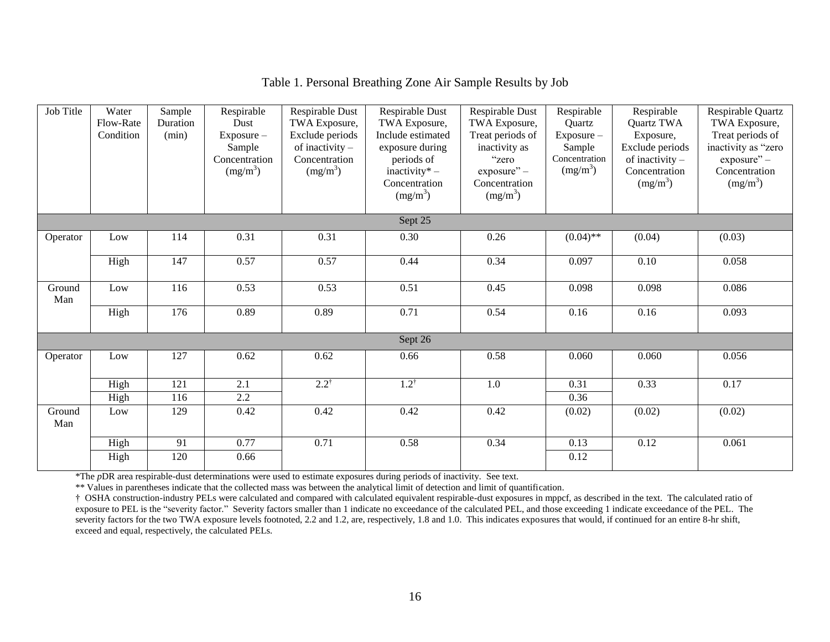| Job Title     | Water<br>Flow-Rate<br>Condition | Sample<br>Duration<br>(min) | Respirable<br>Dust<br>$Exposure -$<br>Sample<br>Concentration<br>(mg/m <sup>3</sup> ) | Respirable Dust<br>TWA Exposure,<br>Exclude periods<br>of inactivity $-$<br>Concentration<br>(mg/m <sup>3</sup> ) | Respirable Dust<br>TWA Exposure,<br>Include estimated<br>exposure during<br>periods of<br>inactivity* $-$<br>Concentration<br>$(mg/m^3)$ | Respirable Dust<br>TWA Exposure,<br>Treat periods of<br>inactivity as<br>"zero<br>$exposure" -$<br>Concentration<br>(mg/m <sup>3</sup> ) | Respirable<br>Quartz<br>Exposure -<br>Sample<br>Concentration<br>(mg/m <sup>3</sup> ) | Respirable<br>Quartz TWA<br>Exposure,<br>Exclude periods<br>of inactivity $-$<br>Concentration<br>$(mg/m^3)$ | Respirable Quartz<br>TWA Exposure,<br>Treat periods of<br>inactivity as "zero<br>exposure" -<br>Concentration<br>$(mg/m^3)$ |
|---------------|---------------------------------|-----------------------------|---------------------------------------------------------------------------------------|-------------------------------------------------------------------------------------------------------------------|------------------------------------------------------------------------------------------------------------------------------------------|------------------------------------------------------------------------------------------------------------------------------------------|---------------------------------------------------------------------------------------|--------------------------------------------------------------------------------------------------------------|-----------------------------------------------------------------------------------------------------------------------------|
|               |                                 |                             |                                                                                       |                                                                                                                   | Sept 25                                                                                                                                  |                                                                                                                                          |                                                                                       |                                                                                                              |                                                                                                                             |
| Operator      | Low                             | 114                         | 0.31                                                                                  | 0.31                                                                                                              | 0.30                                                                                                                                     | 0.26                                                                                                                                     | $(0.04)$ **                                                                           | (0.04)                                                                                                       | (0.03)                                                                                                                      |
|               | High                            | 147                         | 0.57                                                                                  | 0.57                                                                                                              | 0.44                                                                                                                                     | 0.34                                                                                                                                     | 0.097                                                                                 | 0.10                                                                                                         | 0.058                                                                                                                       |
| Ground<br>Man | Low                             | 116                         | 0.53                                                                                  | 0.53                                                                                                              | 0.51                                                                                                                                     | 0.45                                                                                                                                     | 0.098                                                                                 | 0.098                                                                                                        | 0.086                                                                                                                       |
|               | High                            | 176                         | 0.89                                                                                  | 0.89                                                                                                              | 0.71                                                                                                                                     | 0.54                                                                                                                                     | 0.16                                                                                  | 0.16                                                                                                         | 0.093                                                                                                                       |
|               |                                 |                             |                                                                                       |                                                                                                                   | Sept 26                                                                                                                                  |                                                                                                                                          |                                                                                       |                                                                                                              |                                                                                                                             |
| Operator      | Low                             | 127                         | 0.62                                                                                  | 0.62                                                                                                              | 0.66                                                                                                                                     | 0.58                                                                                                                                     | 0.060                                                                                 | 0.060                                                                                                        | 0.056                                                                                                                       |
|               | High                            | 121                         | 2.1                                                                                   | $2.2^{\dagger}$                                                                                                   | $1.2^{\dagger}$                                                                                                                          | 1.0                                                                                                                                      | 0.31                                                                                  | 0.33                                                                                                         | 0.17                                                                                                                        |
|               | High                            | 116                         | 2.2                                                                                   |                                                                                                                   |                                                                                                                                          |                                                                                                                                          | 0.36                                                                                  |                                                                                                              |                                                                                                                             |
| Ground<br>Man | Low                             | 129                         | 0.42                                                                                  | 0.42                                                                                                              | 0.42                                                                                                                                     | 0.42                                                                                                                                     | (0.02)                                                                                | (0.02)                                                                                                       | (0.02)                                                                                                                      |
|               | High                            | 91                          | 0.77                                                                                  | 0.71                                                                                                              | 0.58                                                                                                                                     | 0.34                                                                                                                                     | 0.13                                                                                  | 0.12                                                                                                         | 0.061                                                                                                                       |
|               | High                            | 120                         | 0.66                                                                                  |                                                                                                                   |                                                                                                                                          |                                                                                                                                          | 0.12                                                                                  |                                                                                                              |                                                                                                                             |

## Table 1. Personal Breathing Zone Air Sample Results by Job

\*The *p*DR area respirable-dust determinations were used to estimate exposures during periods of inactivity. See text.

\*\* Values in parentheses indicate that the collected mass was between the analytical limit of detection and limit of quantification.

† OSHA construction-industry PELs were calculated and compared with calculated equivalent respirable-dust exposures in mppcf, as described in the text. The calculated ratio of exposure to PEL is the "severity factor." Severity factors smaller than 1 indicate no exceedance of the calculated PEL, and those exceeding 1 indicate exceedance of the PEL. The severity factors for the two TWA exposure levels footnoted, 2.2 and 1.2, are, respectively, 1.8 and 1.0. This indicates exposures that would, if continued for an entire 8-hr shift, exceed and equal, respectively, the calculated PELs.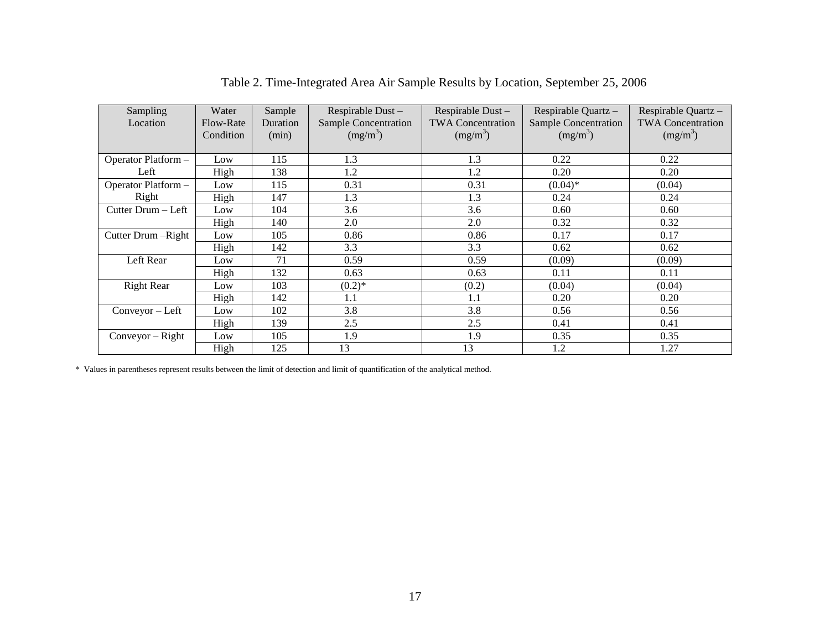| Sampling<br>Location | Water<br>Flow-Rate<br>Condition | Sample<br>Duration<br>(min) | Respirable Dust-<br><b>Sample Concentration</b><br>$(mg/m^3)$ | Respirable Dust-<br><b>TWA Concentration</b><br>$(mg/m^3)$ | Respirable Quartz -<br><b>Sample Concentration</b><br>$(mg/m^3)$ | Respirable Quartz -<br><b>TWA Concentration</b><br>$(mg/m^3)$ |
|----------------------|---------------------------------|-----------------------------|---------------------------------------------------------------|------------------------------------------------------------|------------------------------------------------------------------|---------------------------------------------------------------|
| Operator Platform -  | Low                             | 115                         | 1.3                                                           | 1.3                                                        | 0.22                                                             | 0.22                                                          |
| Left                 | High                            | 138                         | 1.2                                                           | 1.2                                                        | 0.20                                                             | 0.20                                                          |
| Operator Platform -  | Low                             | 115                         | 0.31                                                          | 0.31                                                       | $(0.04)$ *                                                       | (0.04)                                                        |
| Right                | High                            | 147                         | 1.3                                                           | 1.3                                                        | 0.24                                                             | 0.24                                                          |
| Cutter Drum - Left   | Low                             | 104                         | 3.6                                                           | 3.6                                                        | 0.60                                                             | 0.60                                                          |
|                      | High                            | 140                         | 2.0                                                           | 2.0                                                        | 0.32                                                             | 0.32                                                          |
| Cutter Drum - Right  | Low                             | 105                         | 0.86                                                          | 0.86                                                       | 0.17                                                             | 0.17                                                          |
|                      | High                            | 142                         | 3.3                                                           | 3.3                                                        | 0.62                                                             | 0.62                                                          |
| Left Rear            | Low                             | 71                          | 0.59                                                          | 0.59                                                       | (0.09)                                                           | (0.09)                                                        |
|                      | High                            | 132                         | 0.63                                                          | 0.63                                                       | 0.11                                                             | 0.11                                                          |
| <b>Right Rear</b>    | Low                             | 103                         | $(0.2)$ *                                                     | (0.2)                                                      | (0.04)                                                           | (0.04)                                                        |
|                      | High                            | 142                         | 1.1                                                           | 1.1                                                        | 0.20                                                             | 0.20                                                          |
| Conveyor - Left      | Low                             | 102                         | 3.8                                                           | 3.8                                                        | 0.56                                                             | 0.56                                                          |
|                      | High                            | 139                         | 2.5                                                           | 2.5                                                        | 0.41                                                             | 0.41                                                          |
| $Conveyor - Right$   | Low                             | 105                         | 1.9                                                           | 1.9                                                        | 0.35                                                             | 0.35                                                          |
|                      | High                            | 125                         | 13                                                            | 13                                                         | 1.2                                                              | 1.27                                                          |

Table 2. Time-Integrated Area Air Sample Results by Location, September 25, 2006

\* Values in parentheses represent results between the limit of detection and limit of quantification of the analytical method.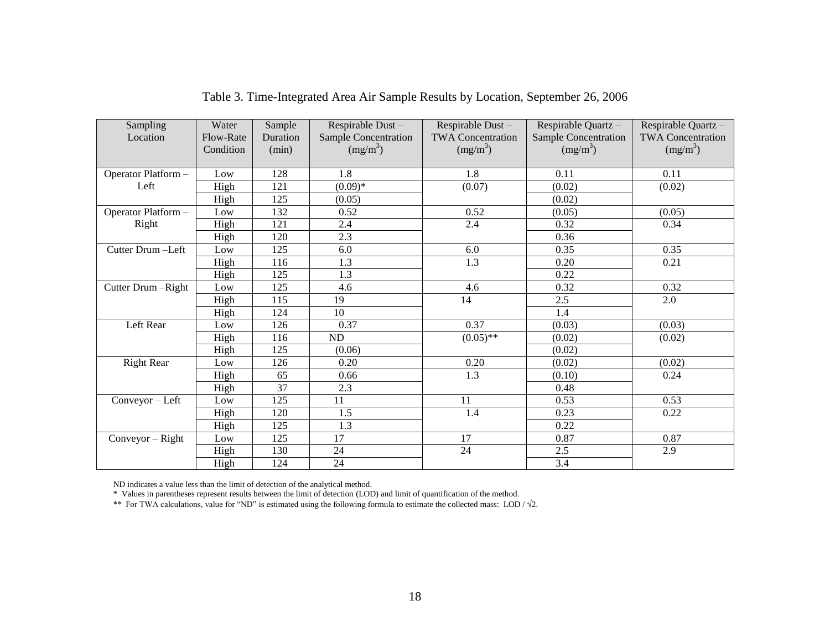| Sampling<br>Location | Water<br>Flow-Rate<br>Condition | Sample<br>Duration<br>(min) | Respirable Dust-<br><b>Sample Concentration</b><br>$(mg/m^3)$ | Respirable Dust-<br><b>TWA Concentration</b><br>$(mg/m^3)$ | Respirable Quartz -<br><b>Sample Concentration</b><br>$(mg/m^3)$ | Respirable Quartz -<br><b>TWA Concentration</b><br>$(mg/m^3)$ |
|----------------------|---------------------------------|-----------------------------|---------------------------------------------------------------|------------------------------------------------------------|------------------------------------------------------------------|---------------------------------------------------------------|
| Operator Platform -  | Low                             | 128                         | 1.8                                                           | 1.8                                                        | 0.11                                                             | 0.11                                                          |
| Left                 | High                            | 121                         | $(0.09)*$                                                     | (0.07)                                                     | (0.02)                                                           | (0.02)                                                        |
|                      | High                            | 125                         | (0.05)                                                        |                                                            | (0.02)                                                           |                                                               |
| Operator Platform -  | Low                             | 132                         | 0.52                                                          | 0.52                                                       | (0.05)                                                           | (0.05)                                                        |
| Right                | High                            | 121                         | 2.4                                                           | 2.4                                                        | 0.32                                                             | 0.34                                                          |
|                      | High                            | 120                         | 2.3                                                           |                                                            | 0.36                                                             |                                                               |
| Cutter Drum-Left     | Low                             | 125                         | 6.0                                                           | 6.0                                                        | 0.35                                                             | 0.35                                                          |
|                      | High                            | 116                         | 1.3                                                           | 1.3                                                        | 0.20                                                             | 0.21                                                          |
|                      | High                            | 125                         | 1.3                                                           |                                                            | 0.22                                                             |                                                               |
| Cutter Drum-Right    | Low                             | 125                         | 4.6                                                           | 4.6                                                        | 0.32                                                             | 0.32                                                          |
|                      | High                            | 115                         | 19                                                            | 14                                                         | 2.5                                                              | 2.0                                                           |
|                      | High                            | 124                         | 10                                                            |                                                            | 1.4                                                              |                                                               |
| Left Rear            | Low                             | 126                         | 0.37                                                          | 0.37                                                       | (0.03)                                                           | (0.03)                                                        |
|                      | High                            | 116                         | ND                                                            | $(0.05)$ **                                                | (0.02)                                                           | (0.02)                                                        |
|                      | High                            | 125                         | (0.06)                                                        |                                                            | (0.02)                                                           |                                                               |
| <b>Right Rear</b>    | Low                             | 126                         | 0.20                                                          | 0.20                                                       | (0.02)                                                           | (0.02)                                                        |
|                      | High                            | 65                          | 0.66                                                          | 1.3                                                        | (0.10)                                                           | 0.24                                                          |
|                      | High                            | 37                          | 2.3                                                           |                                                            | 0.48                                                             |                                                               |
| $Conveyor - Left$    | Low                             | 125                         | 11                                                            | 11                                                         | 0.53                                                             | 0.53                                                          |
|                      | High                            | 120                         | 1.5                                                           | 1.4                                                        | 0.23                                                             | 0.22                                                          |
|                      | High                            | 125                         | 1.3                                                           |                                                            | 0.22                                                             |                                                               |
| $Conveyor - Right$   | Low                             | 125                         | 17                                                            | 17                                                         | 0.87                                                             | 0.87                                                          |
|                      | High                            | 130                         | 24                                                            | 24                                                         | 2.5                                                              | 2.9                                                           |
|                      | High                            | 124                         | 24                                                            |                                                            | 3.4                                                              |                                                               |

Table 3. Time-Integrated Area Air Sample Results by Location, September 26, 2006

ND indicates a value less than the limit of detection of the analytical method.

\* Values in parentheses represent results between the limit of detection (LOD) and limit of quantification of the method.

\*\* For TWA calculations, value for "ND" is estimated using the following formula to estimate the collected mass: LOD /  $\sqrt{2}$ .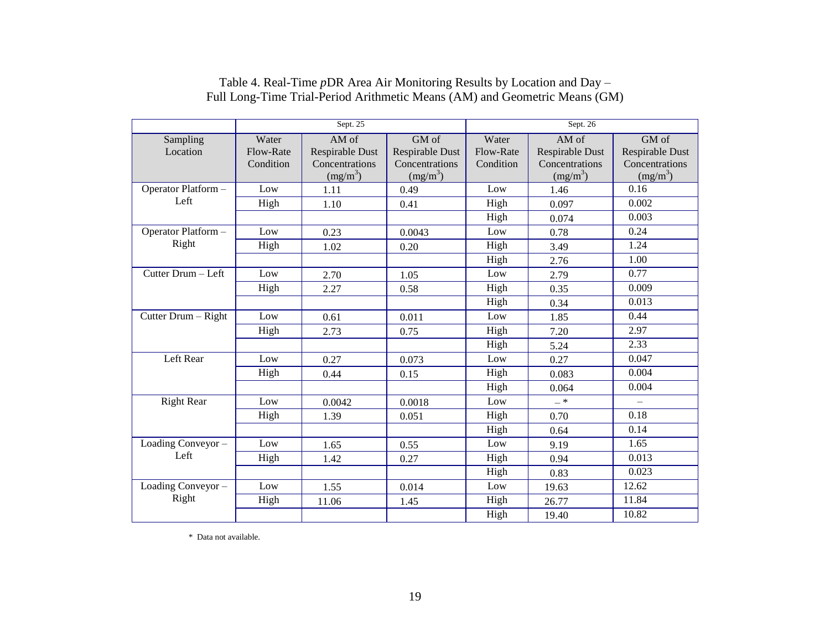|                     |           | Sept. 25               |                 | Sept. 26  |                 |                   |  |
|---------------------|-----------|------------------------|-----------------|-----------|-----------------|-------------------|--|
| Sampling            | Water     | AM of                  | GM of           | Water     | AM of           | GM of             |  |
| Location            | Flow-Rate | <b>Respirable Dust</b> | Respirable Dust | Flow-Rate | Respirable Dust | Respirable Dust   |  |
|                     | Condition | Concentrations         | Concentrations  | Condition | Concentrations  | Concentrations    |  |
|                     |           | $(mg/m^3)$             | $(mg/m^3)$      |           | $(mg/m^3)$      | $(mg/m^3)$        |  |
| Operator Platform - | Low       | 1.11                   | 0.49            | Low       | 1.46            | 0.16              |  |
| Left                | High      | 1.10                   | 0.41            | High      | 0.097           | 0.002             |  |
|                     |           |                        |                 | High      | 0.074           | 0.003             |  |
| Operator Platform - | Low       | 0.23                   | 0.0043          | Low       | 0.78            | 0.24              |  |
| Right               | High      | 1.02                   | 0.20            | High      | 3.49            | 1.24              |  |
|                     |           |                        |                 | High      | 2.76            | 1.00              |  |
| Cutter Drum - Left  | Low       | 2.70                   | 1.05            | Low       | 2.79            | 0.77              |  |
|                     | High      | 2.27                   | 0.58            | High      | 0.35            | 0.009             |  |
|                     |           |                        |                 | High      | 0.34            | 0.013             |  |
| Cutter Drum - Right | Low       | 0.61                   | 0.011           | Low       | 1.85            | 0.44              |  |
|                     | High      | 2.73                   | 0.75            | High      | 7.20            | 2.97              |  |
|                     |           |                        |                 | High      | 5.24            | 2.33              |  |
| Left Rear           | Low       | 0.27                   | 0.073           | Low       | 0.27            | 0.047             |  |
|                     | High      | 0.44                   | 0.15            | High      | 0.083           | 0.004             |  |
|                     |           |                        |                 | High      | 0.064           | 0.004             |  |
| <b>Right Rear</b>   | Low       | 0.0042                 | 0.0018          | Low       | $- *$           | $\qquad \qquad -$ |  |
|                     | High      | 1.39                   | 0.051           | High      | 0.70            | 0.18              |  |
|                     |           |                        |                 | High      | 0.64            | 0.14              |  |
| Loading Conveyor -  | Low       | 1.65                   | 0.55            | Low       | 9.19            | 1.65              |  |
| Left                | High      | 1.42                   | 0.27            | High      | 0.94            | 0.013             |  |
|                     |           |                        |                 | High      | 0.83            | 0.023             |  |
| Loading Conveyor -  | Low       | 1.55                   | 0.014           | Low       | 19.63           | 12.62             |  |
| Right               | High      | 11.06                  | 1.45            | High      | 26.77           | 11.84             |  |
|                     |           |                        |                 | High      | 19.40           | 10.82             |  |

### Table 4. Real-Time *p*DR Area Air Monitoring Results by Location and Day – Full Long-Time Trial-Period Arithmetic Means (AM) and Geometric Means (GM)

\* Data not available.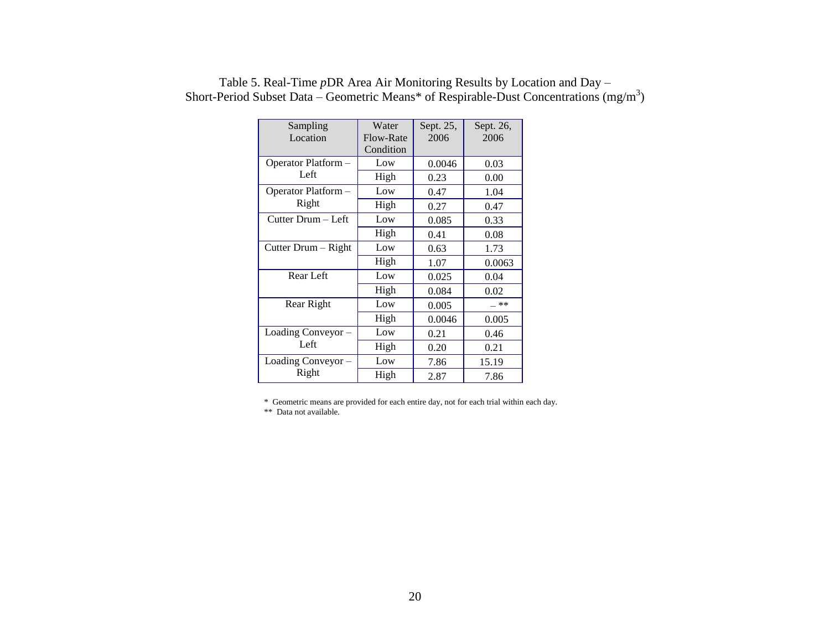| Sampling            | Water     | Sept. 25, | Sept. 26, |  |
|---------------------|-----------|-----------|-----------|--|
| Location            | Flow-Rate | 2006      | 2006      |  |
|                     | Condition |           |           |  |
| Operator Platform - | Low       | 0.0046    | 0.03      |  |
| Left                | High      | 0.23      | 0.00      |  |
| Operator Platform – | Low       | 0.47      | 1.04      |  |
| Right               | High      | 0.27      | 0.47      |  |
| Cutter Drum - Left  | Low       | 0.085     | 0.33      |  |
|                     | High      | 0.41      | 0.08      |  |
| Cutter Drum - Right | Low       | 0.63      | 1.73      |  |
|                     | High      | 1.07      | 0.0063    |  |
| Rear Left           | Low       | 0.025     | 0.04      |  |
|                     | High      | 0.084     | 0.02      |  |
| Rear Right          | Low       | 0.005     | — **      |  |
|                     | High      | 0.0046    | 0.005     |  |
| Loading Conveyor -  | Low       | 0.21      | 0.46      |  |
| Left                | High      | 0.20      | 0.21      |  |
| Loading Conveyor -  | Low       | 7.86      | 15.19     |  |
| Right               | High      | 2.87      | 7.86      |  |

# Table 5. Real-Time *p*DR Area Air Monitoring Results by Location and Day – Short-Period Subset Data – Geometric Means\* of Respirable-Dust Concentrations  $(mg/m<sup>3</sup>)$

\* Geometric means are provided for each entire day, not for each trial within each day.

\*\* Data not available.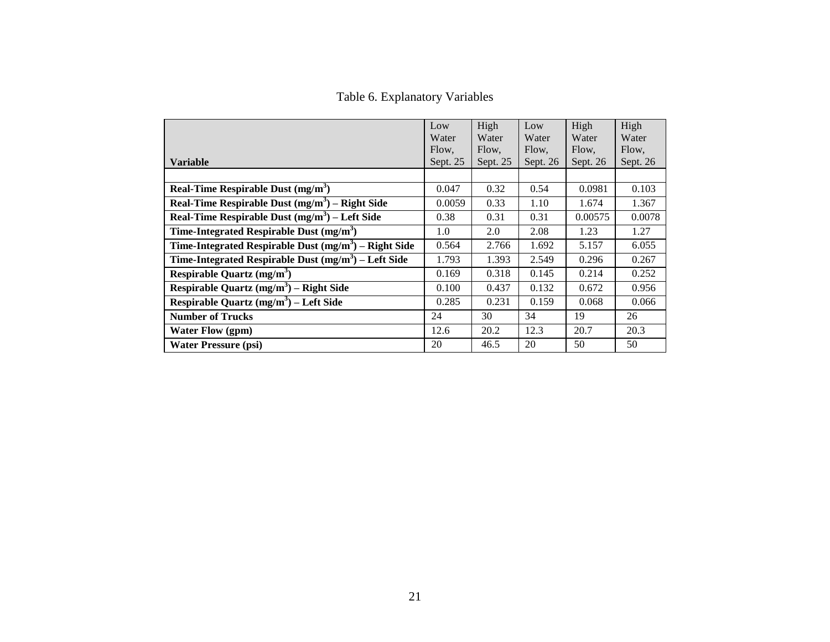Table 6. Explanatory Variables

|                                                        | Low        | High     | Low        | High     | High     |
|--------------------------------------------------------|------------|----------|------------|----------|----------|
|                                                        | Water      | Water    | Water      | Water    | Water    |
|                                                        | Flow.      | Flow.    | Flow.      | Flow.    | Flow,    |
| <b>Variable</b>                                        | Sept. $25$ | Sept. 25 | Sept. $26$ | Sept. 26 | Sept. 26 |
|                                                        |            |          |            |          |          |
| Real-Time Respirable Dust $(mg/m3)$                    | 0.047      | 0.32     | 0.54       | 0.0981   | 0.103    |
| Real-Time Respirable Dust $(mg/m3)$ – Right Side       | 0.0059     | 0.33     | 1.10       | 1.674    | 1.367    |
| Real-Time Respirable Dust $(mg/m3)$ – Left Side        | 0.38       | 0.31     | 0.31       | 0.00575  | 0.0078   |
| Time-Integrated Respirable Dust $(mg/m3)$              | 1.0        | 2.0      | 2.08       | 1.23     | 1.27     |
| Time-Integrated Respirable Dust $(mg/m3)$ – Right Side | 0.564      | 2.766    | 1.692      | 5.157    | 6.055    |
| Time-Integrated Respirable Dust $(mg/m3)$ – Left Side  | 1.793      | 1.393    | 2.549      | 0.296    | 0.267    |
| Respirable Quartz $(mg/m3)$                            | 0.169      | 0.318    | 0.145      | 0.214    | 0.252    |
| Respirable Quartz $(mg/m^3)$ – Right Side              | 0.100      | 0.437    | 0.132      | 0.672    | 0.956    |
| Respirable Quartz $(mg/m^3)$ – Left Side               | 0.285      | 0.231    | 0.159      | 0.068    | 0.066    |
| <b>Number of Trucks</b>                                | 24         | 30       | 34         | 19       | 26       |
| <b>Water Flow (gpm)</b>                                | 12.6       | 20.2     | 12.3       | 20.7     | 20.3     |
| <b>Water Pressure (psi)</b>                            | 20         | 46.5     | 20         | 50       | 50       |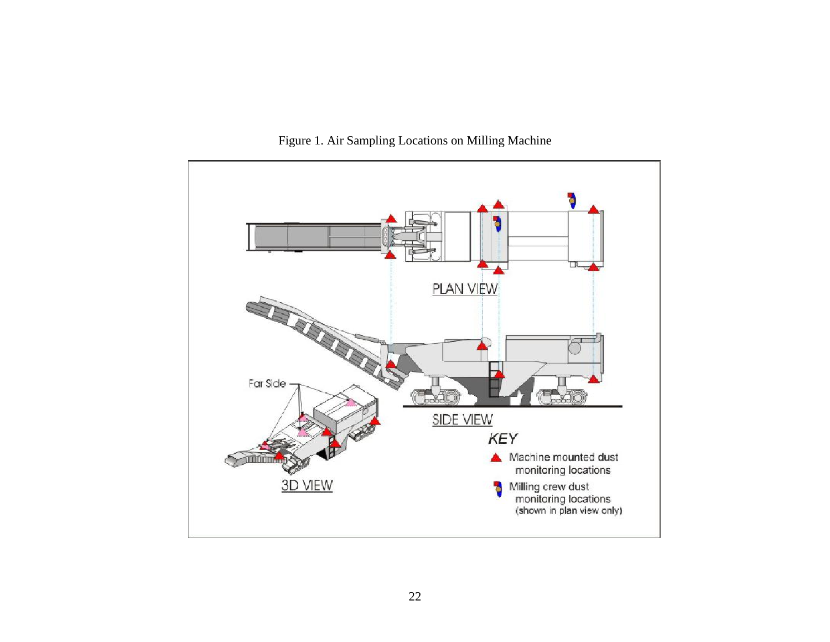

Figure 1. Air Sampling Locations on Milling Machine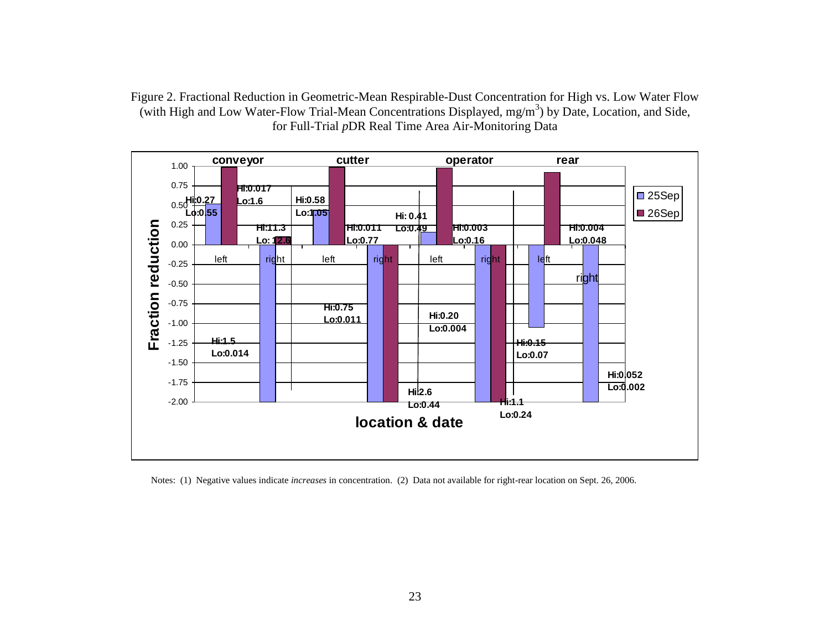Figure 2. Fractional Reduction in Geometric-Mean Respirable-Dust Concentration for High vs. Low Water Flow (with High and Low Water-Flow Trial-Mean Concentrations Displayed, mg/m<sup>3</sup>) by Date, Location, and Side, for Full-Trial *p*DR Real Time Area Air-Monitoring Data



Notes: (1) Negative values indicate *increases* in concentration. (2) Data not available for right-rear location on Sept. 26, 2006.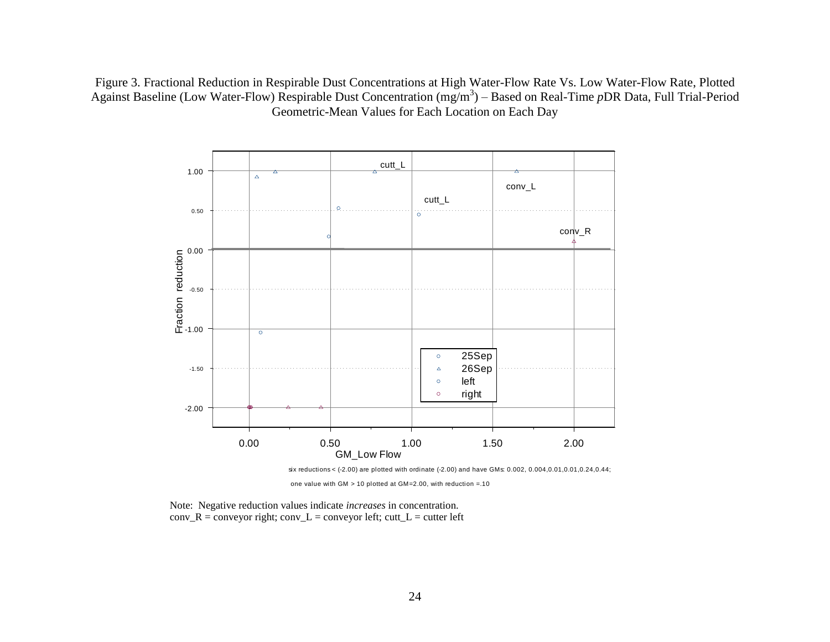Figure 3. Fractional Reduction in Respirable Dust Concentrations at High Water-Flow Rate Vs. Low Water-Flow Rate, Plotted Against Baseline (Low Water-Flow) Respirable Dust Concentration (mg/m<sup>3</sup>) – Based on Real-Time *pDR Data, Full Trial-Period* Geometric-Mean Values for Each Location on Each Day



one value with GM > 10 plotted at GM=2.00, with reduction =.10

Note: Negative reduction values indicate *increases* in concentration.  $conv_R = conv$  conveyor right;  $conv_L = conv$  conveyor left; cutt $_L = cut$  test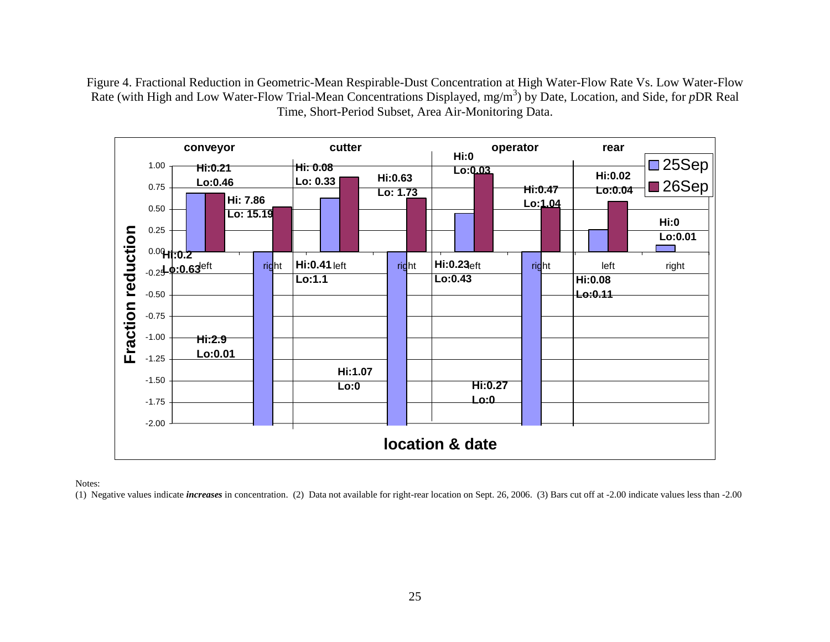Figure 4. Fractional Reduction in Geometric-Mean Respirable-Dust Concentration at High Water-Flow Rate Vs. Low Water-Flow Rate (with High and Low Water-Flow Trial-Mean Concentrations Displayed, mg/m<sup>3</sup>) by Date, Location, and Side, for *p*DR Real Time, Short-Period Subset, Area Air-Monitoring Data.



Notes:

(1) Negative values indicate *increases* in concentration. (2) Data not available for right-rear location on Sept. 26, 2006. (3) Bars cut off at -2.00 indicate values less than -2.00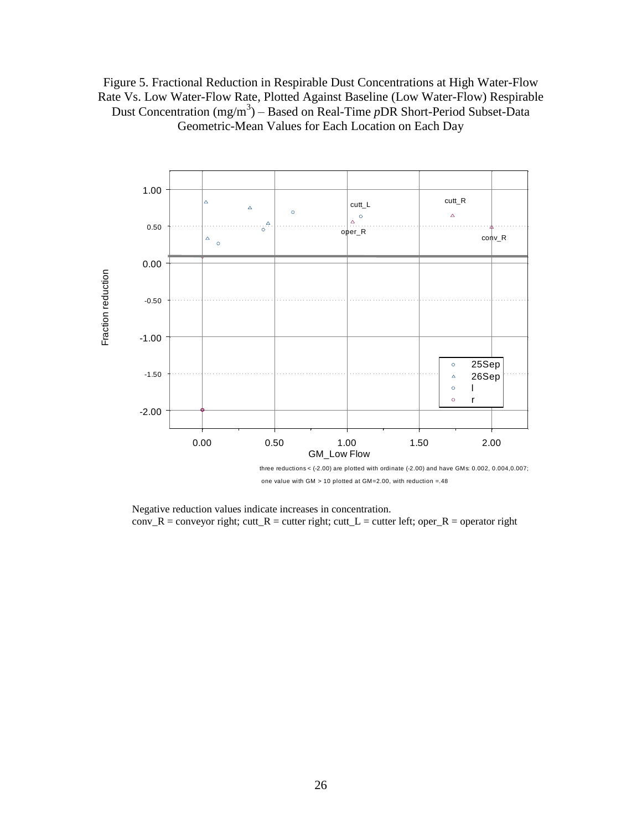# Figure 5. Fractional Reduction in Respirable Dust Concentrations at High Water-Flow Rate Vs. Low Water-Flow Rate, Plotted Against Baseline (Low Water-Flow) Respirable Dust Concentration (mg/m<sup>3</sup>) – Based on Real-Time *pDR* Short-Period Subset-Data Geometric-Mean Values for Each Location on Each Day



Negative reduction values indicate increases in concentration.  $conv_R = conv$  conveyor right; cutt\_R = cutter right; cutt\_L = cutter left; oper\_R = operator right